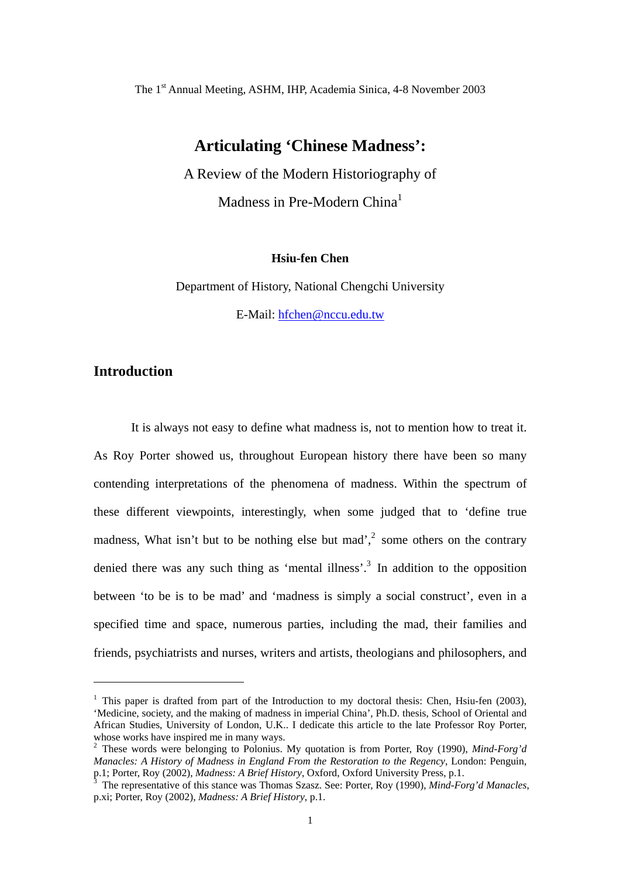The 1st Annual Meeting, ASHM, IHP, Academia Sinica, 4-8 November 2003

## **Articulating 'Chinese Madness':**

A Review of the Modern Historiography of Madness in Pre-Modern China<sup>[1](#page-0-0)</sup>

#### **Hsiu-fen Chen**

Department of History, National Chengchi University E-Mail: [hfchen@nccu.edu.tw](mailto:hfchen@nccu.edu.tw)

## **Introduction**

 $\overline{a}$ 

It is always not easy to define what madness is, not to mention how to treat it. As Roy Porter showed us, throughout European history there have been so many contending interpretations of the phenomena of madness. Within the spectrum of these different viewpoints, interestingly, when some judged that to 'define true madness, What isn't but to be nothing else but mad', $\frac{2}{3}$  $\frac{2}{3}$  $\frac{2}{3}$  some others on the contrary denied there was any such thing as 'mental illness'.<sup>[3](#page-0-2)</sup> In addition to the opposition between 'to be is to be mad' and 'madness is simply a social construct', even in a specified time and space, numerous parties, including the mad, their families and friends, psychiatrists and nurses, writers and artists, theologians and philosophers, and

<span id="page-0-0"></span><sup>&</sup>lt;sup>1</sup> This paper is drafted from part of the Introduction to my doctoral thesis: Chen, Hsiu-fen (2003), 'Medicine, society, and the making of madness in imperial China', Ph.D. thesis, School of Oriental and African Studies, University of London, U.K.. I dedicate this article to the late Professor Roy Porter, whose works have inspired me in many ways.<br><sup>2</sup> These words were belonging to Polonius. My quotation is from Porter, Roy (1990), *Mind-Forg'd* 

<span id="page-0-1"></span>*Manacles: A History of Madness in England From the Restoration to the Regency*, London: Penguin, p.1; Porter, Roy (2002), *Madness: A Brief History*, Oxford, Oxford University Press, p.1.<br><sup>3</sup> The representative of this stance was Thomas Szasz. See: Porter, Roy (1990), *Mind-Forg'd Manacles*,

<span id="page-0-2"></span>p.xi; Porter, Roy (2002), *Madness: A Brief History*, p.1.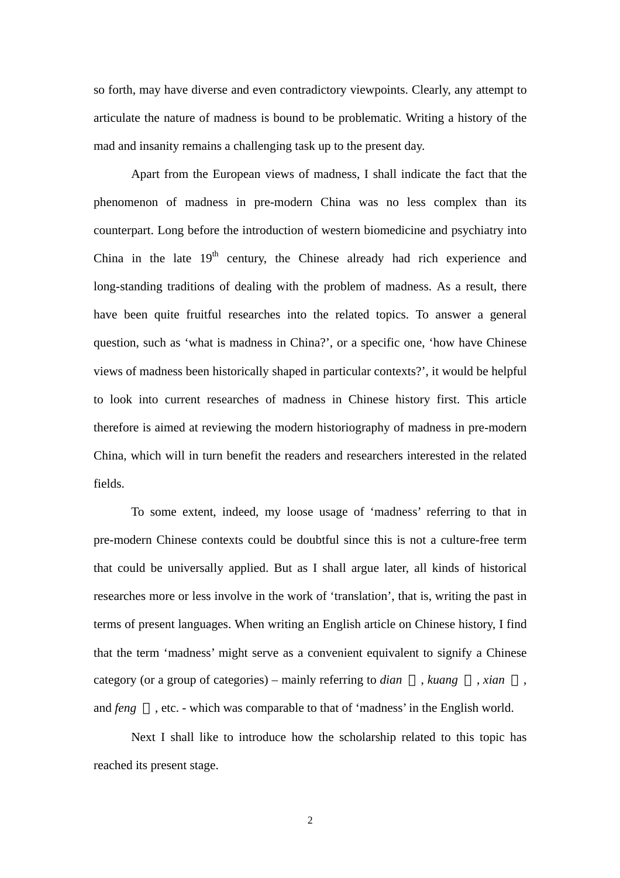so forth, may have diverse and even contradictory viewpoints. Clearly, any attempt to articulate the nature of madness is bound to be problematic. Writing a history of the mad and insanity remains a challenging task up to the present day.

Apart from the European views of madness, I shall indicate the fact that the phenomenon of madness in pre-modern China was no less complex than its counterpart. Long before the introduction of western biomedicine and psychiatry into China in the late  $19<sup>th</sup>$  century, the Chinese already had rich experience and long-standing traditions of dealing with the problem of madness. As a result, there have been quite fruitful researches into the related topics. To answer a general question, such as 'what is madness in China?', or a specific one, 'how have Chinese views of madness been historically shaped in particular contexts?', it would be helpful to look into current researches of madness in Chinese history first. This article therefore is aimed at reviewing the modern historiography of madness in pre-modern China, which will in turn benefit the readers and researchers interested in the related fields.

To some extent, indeed, my loose usage of 'madness' referring to that in pre-modern Chinese contexts could be doubtful since this is not a culture-free term that could be universally applied. But as I shall argue later, all kinds of historical researches more or less involve in the work of 'translation', that is, writing the past in terms of present languages. When writing an English article on Chinese history, I find that the term 'madness' might serve as a convenient equivalent to signify a Chinese category (or a group of categories) – mainly referring to *dian* , *kuang* , *xian* , and *feng* , etc. - which was comparable to that of 'madness' in the English world.

Next I shall like to introduce how the scholarship related to this topic has reached its present stage.

2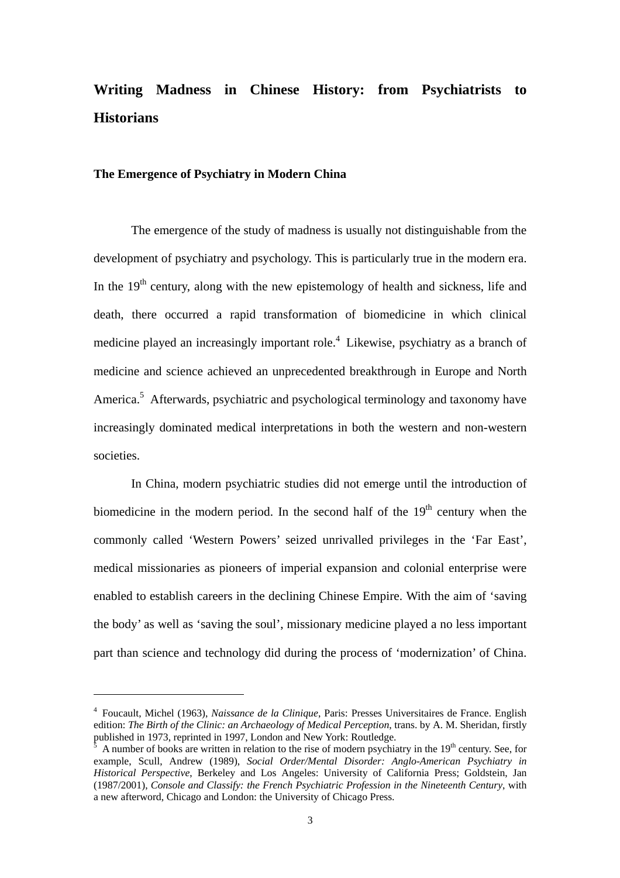# **Writing Madness in Chinese History: from Psychiatrists to Historians**

#### **The Emergence of Psychiatry in Modern China**

The emergence of the study of madness is usually not distinguishable from the development of psychiatry and psychology. This is particularly true in the modern era. In the  $19<sup>th</sup>$  century, along with the new epistemology of health and sickness, life and death, there occurred a rapid transformation of biomedicine in which clinical medicine played an increasingly important role.<sup>4</sup> Likewise, psychiatry as a branch of medicine and science achieved an unprecedented breakthrough in Europe and North America.<sup>5</sup> Afterwards, psychiatric and psychological terminology and taxonomy have increasingly dominated medical interpretations in both the western and non-western societies.

In China, modern psychiatric studies did not emerge until the introduction of biomedicine in the modern period. In the second half of the  $19<sup>th</sup>$  century when the commonly called 'Western Powers' seized unrivalled privileges in the 'Far East', medical missionaries as pioneers of imperial expansion and colonial enterprise were enabled to establish careers in the declining Chinese Empire. With the aim of 'saving the body' as well as 'saving the soul', missionary medicine played a no less important part than science and technology did during the process of 'modernization' of China.

<span id="page-2-0"></span><sup>4</sup> Foucault, Michel (1963), *Naissance de la Clinique*, Paris: Presses Universitaires de France. English edition: *The Birth of the Clinic: an Archaeology of Medical Perception*, trans. by A. M. Sheridan, firstly

<span id="page-2-1"></span>A number of books are written in relation to the rise of modern psychiatry in the  $19<sup>th</sup>$  century. See, for example, Scull, Andrew (1989), *Social Order/Mental Disorder: Anglo-American Psychiatry in Historical Perspective*, Berkeley and Los Angeles: University of California Press; Goldstein, Jan (1987/2001), *Console and Classify: the French Psychiatric Profession in the Nineteenth Century*, with a new afterword, Chicago and London: the University of Chicago Press.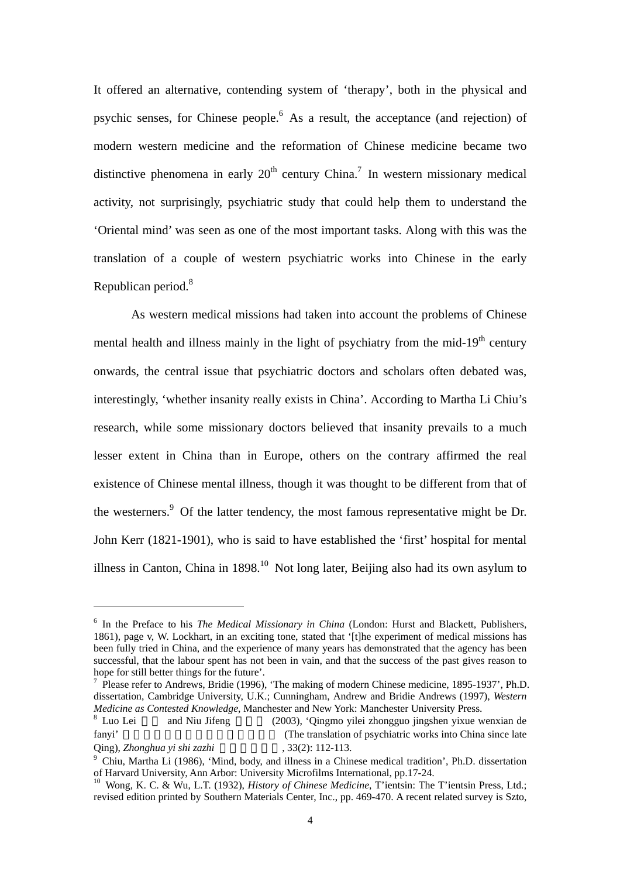<span id="page-3-4"></span>It offered an alternative, contending system of 'therapy', both in the physical and psychic senses, for Chinese people.[6](#page-3-0) As a result, the acceptance (and rejection) of modern western medicine and the reformation of Chinese medicine became two distinctive phenomena in early  $20<sup>th</sup>$  century China.<sup>7</sup> In western missionary medical activity, not surprisingly, psychiatric study that could help them to understand the 'Oriental mind' was seen as one of the most important tasks. Along with this was the translation of a couple of western psychiatric works into Chinese in the early Republican period.<sup>8</sup>

As western medical missions had taken into account the problems of Chinese mental health and illness mainly in the light of psychiatry from the mid- $19<sup>th</sup>$  century onwards, the central issue that psychiatric doctors and scholars often debated was, interestingly, 'whether insanity really exists in China'. According to Martha Li Chiu's research, while some missionary doctors believed that insanity prevails to a much lesser extent in China than in Europe, others on the contrary affirmed the real existence of Chinese mental illness, though it was thought to be different from that of the westerners.<sup>[9](#page-3-3)</sup> Of the latter tendency, the most famous representative might be Dr. John Kerr (1821-1901), who is said to have established the 'first' hospital for mental illness in Canton, China in 1898.<sup>[10](#page-3-4)</sup> Not long later, Beijing also had its own asylum to

<span id="page-3-0"></span><sup>6</sup> In the Preface to his *The Medical Missionary in China* (London: Hurst and Blackett, Publishers, 1861), page v, W. Lockhart, in an exciting tone, stated that '[t]he experiment of medical missions has been fully tried in China, and the experience of many years has demonstrated that the agency has been successful, that the labour spent has not been in vain, and that the success of the past gives reason to hope for still better things for the future'.<br><sup>7</sup> Please refer to Andrews, Bridie (1996), 'The making of modern Chinese medicine, 1895-1937', Ph.D.

<span id="page-3-1"></span>dissertation, Cambridge University, U.K.; Cunningham, Andrew and Bridie Andrews (1997), *Western Medicine as Contested Knowledge*, Manchester and New York: Manchester University Press.<br><sup>8</sup> Luo Lei and Niu Jifeng (2003), 'Oingmo vilei zhongguo jingshen vixue w

<span id="page-3-2"></span><sup>(2003), &#</sup>x27;Qingmo yilei zhongguo jingshen yixue wenxian de fanyi' (The translation of psychiatric works into China since late **Oing**), *Zhonghua yi shi zazhi* , 33(2): 112-113.

<span id="page-3-3"></span><sup>&</sup>lt;sup>9</sup> Chiu, Martha Li (1986), 'Mind, body, and illness in a Chinese medical tradition', Ph.D. dissertation of Harvard University, Ann Arbor: University Microfilms International, pp.17-24.

<sup>&</sup>lt;sup>10</sup> Wong, K. C. & Wu, L.T. (1932), *History of Chinese Medicine*, T'ientsin: The T'ientsin Press, Ltd.; revised edition printed by Southern Materials Center, Inc., pp. 469-470. A recent related survey is Szto,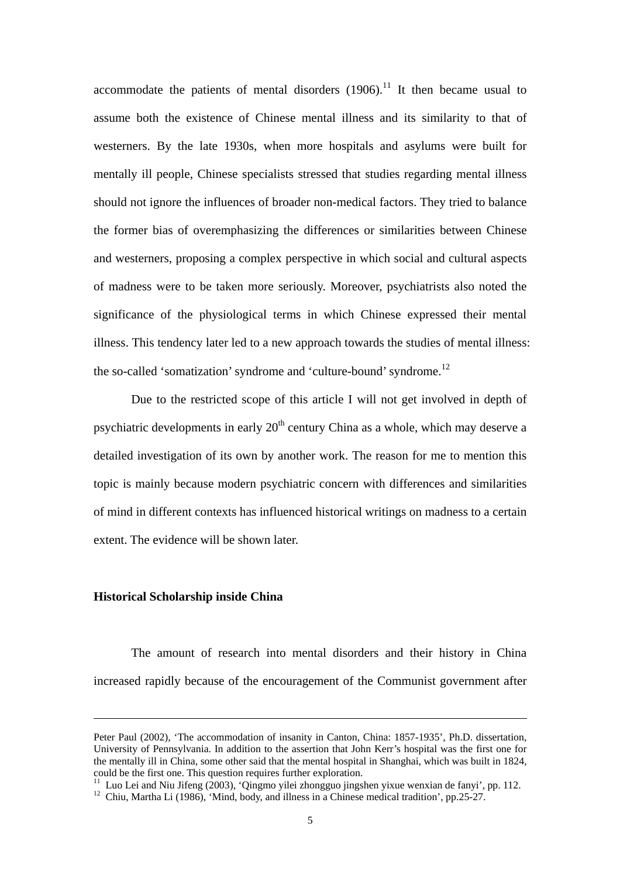accommodate the patients of mental disorders  $(1906)$ .<sup>[11](#page-4-0)</sup> It then became usual to assume both the existence of Chinese mental illness and its similarity to that of westerners. By the late 1930s, when more hospitals and asylums were built for mentally ill people, Chinese specialists stressed that studies regarding mental illness should not ignore the influences of broader non-medical factors. They tried to balance the former bias of overemphasizing the differences or similarities between Chinese and westerners, proposing a complex perspective in which social and cultural aspects of madness were to be taken more seriously. Moreover, psychiatrists also noted the significance of the physiological terms in which Chinese expressed their mental illness. This tendency later led to a new approach towards the studies of mental illness: the so-called 'somatization' syndrome and 'culture-bound' syndrome.<sup>[12](#page-4-1)</sup>

Due to the restricted scope of this article I will not get involved in depth of psychiatric developments in early  $20<sup>th</sup>$  century China as a whole, which may deserve a detailed investigation of its own by another work. The reason for me to mention this topic is mainly because modern psychiatric concern with differences and similarities of mind in different contexts has influenced historical writings on madness to a certain extent. The evidence will be shown later.

#### **Historical Scholarship inside China**

1

The amount of research into mental disorders and their history in China increased rapidly because of the encouragement of the Communist government after

Peter Paul (2002), 'The accommodation of insanity in Canton, China: 1857-1935', Ph.D. dissertation, University of Pennsylvania. In addition to the assertion that John Kerr's hospital was the first one for the mentally ill in China, some other said that the mental hospital in Shanghai, which was built in 1824, could be the first one. This question requires further exploration.

<span id="page-4-0"></span><sup>&</sup>lt;sup>11</sup> Luo Lei and Niu Jifeng (2003), 'Qingmo yilei zhongguo jingshen yixue wenxian de fanyi', pp. 112.<br><sup>12</sup> Chiu, Martha Li (1986), 'Mind, body, and illness in a Chinese medical tradition', pp. 25-27.

<span id="page-4-1"></span>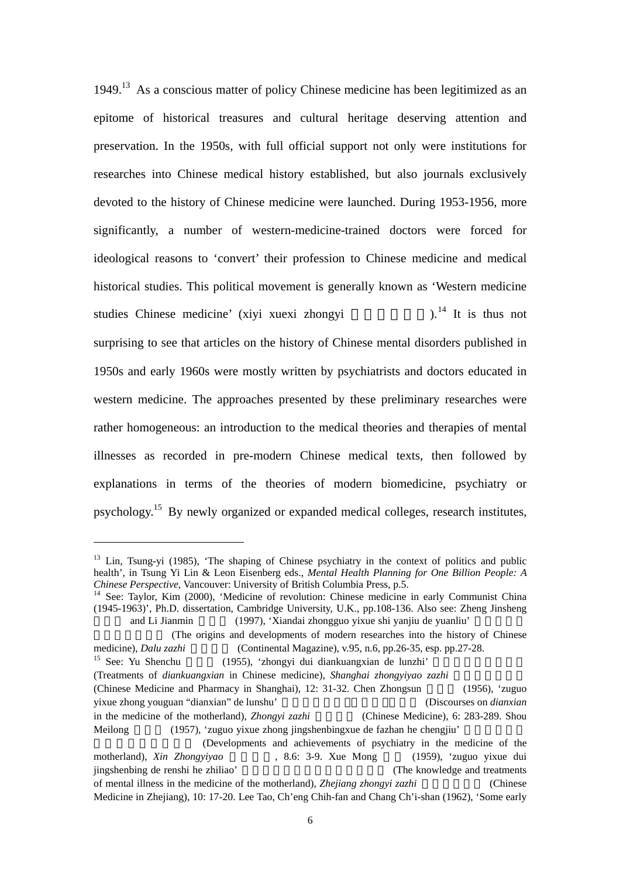<span id="page-5-2"></span>1949.[13](#page-5-0) As a conscious matter of policy Chinese medicine has been legitimized as an epitome of historical treasures and cultural heritage deserving attention and preservation. In the 1950s, with full official support not only were institutions for researches into Chinese medical history established, but also journals exclusively devoted to the history of Chinese medicine were launched. During 1953-1956, more significantly, a number of western-medicine-trained doctors were forced for ideological reasons to 'convert' their profession to Chinese medicine and medical historical studies. This political movement is generally known as 'Western medicine studies Chinese medicine' (xiyi xuexi zhongyi  $1^{14}$  $1^{14}$  $1^{14}$  It is thus not surprising to see that articles on the history of Chinese mental disorders published in 1950s and early 1960s were mostly written by psychiatrists and doctors educated in western medicine. The approaches presented by these preliminary researches were rather homogeneous: an introduction to the medical theories and therapies of mental illnesses as recorded in pre-modern Chinese medical texts, then followed by explanations in terms of the theories of modern biomedicine, psychiatry or psychology.<sup>[15](#page-5-2)</sup> By newly organized or expanded medical colleges, research institutes,

<span id="page-5-0"></span><sup>&</sup>lt;sup>13</sup> Lin, Tsung-yi (1985), 'The shaping of Chinese psychiatry in the context of politics and public health', in Tsung Yi Lin & Leon Eisenberg eds., *Mental Health Planning for One Billion People: A*

<span id="page-5-1"></span><sup>&</sup>lt;sup>14</sup> See: Taylor, Kim (2000), 'Medicine of revolution: Chinese medicine in early Communist China (1945-1963)', Ph.D. dissertation, Cambridge University, U.K., pp.108-136. Also see: Zheng Jinsheng and Li Jianmin (1997), 'Xiandai zhongguo yixue shi yanjiu de yuanliu'

<sup>(</sup>The origins and developments of modern researches into the history of Chinese medicine), *Dalu zazhi* (Continental Magazine), v.95, n.6, pp.26-35, esp. pp.27-28.<br><sup>15</sup> See: Yu Shenchu (1955), 'zhongyi dui diankuangxian de lunzhi'

<sup>(</sup>Treatments of *diankuangxian* in Chinese medicine), *Shanghai zhongyiyao zazhi* (Chinese Medicine and Pharmacy in Shanghai),  $12: 31-32$ . Chen Zhongsun (1956), 'zuguo yixue zhong youguan "dianxian" de lunshu' 祖國醫學中有關 癲癇」的論述 (Discourses on *dianxian* in the medicine of the motherland), *Zhongyi zazhi* (Chinese Medicine), 6: 283-289. Shou Meilong (1957), 'zuguo yixue zhong jingshenbingxue de fazhan he chengjiu' (Developments and achievements of psychiatry in the medicine of the

motherland), *Xin Zhongyiyao* , 8.6: 3-9. Xue Mong (1959), 'zuguo yixue dui jingshenbing de renshi he zhiliao' (The knowledge and treatments) of mental illness in the medicine of the motherland), *Zhejiang zhongyi zazhi* (Chinese Medicine in Zhejiang), 10: 17-20. Lee Tao, Ch'eng Chih-fan and Chang Ch'i-shan (1962), 'Some early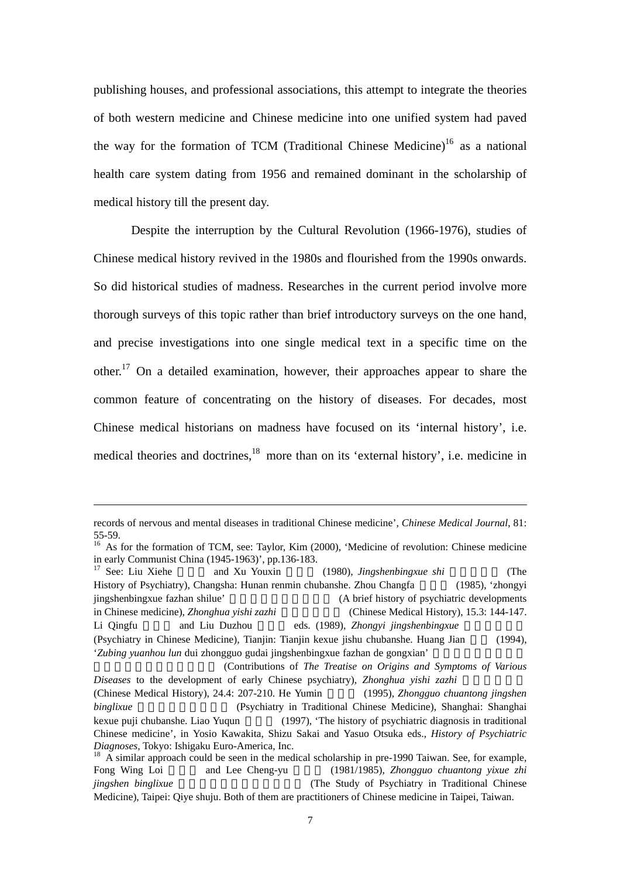publishing houses, and professional associations, this attempt to integrate the theories of both western medicine and Chinese medicine into one unified system had paved the way for the formation of TCM (Traditional Chinese Medicine)<sup>16</sup> as a national health care system dating from 1956 and remained dominant in the scholarship of medical history till the present day.

Despite the interruption by the Cultural Revolution (1966-1976), studies of Chinese medical history revived in the 1980s and flourished from the 1990s onwards. So did historical studies of madness. Researches in the current period involve more thorough surveys of this topic rather than brief introductory surveys on the one hand, and precise investigations into one single medical text in a specific time on the other.<sup>[17](#page-6-1)</sup> On a detailed examination, however, their approaches appear to share the common feature of concentrating on the history of diseases. For decades, most Chinese medical historians on madness have focused on its 'internal history', i.e. medical theories and doctrines,<sup>[18](#page-6-2)</sup> more than on its 'external history', i.e. medicine in

1

<span id="page-6-1"></span>History of Psychiatry), Changsha: Hunan renmin chubanshe. Zhou Changfa 周長 (1985), 'zhongyi jingshenbingxue fazhan shilue' (A brief history of psychiatric developments in Chinese medicine), *Zhonghua yishi zazhi* (Chinese Medical History), 15.3: 144-147. Li Qingfu and Liu Duzhou eds. (1989), *Zhongyi jingshenbingxue* (Psychiatry in Chinese Medicine), Tianjin: Tianjin kexue jishu chubanshe. Huang Jian (1994), '*Zubing yuanhou lun* dui zhongguo gudai jingshenbingxue fazhan de gongxian'

records of nervous and mental diseases in traditional Chinese medicine', *Chinese Medical Journal*, 81: 55-59. 16 As for the formation of TCM, see: Taylor, Kim (2000), 'Medicine of revolution: Chinese medicine

<span id="page-6-0"></span>in early Communist China (1945-1963)', pp.136-183.<br><sup>17</sup> See: Liu Xiehe and Xu Youxin (1980), *Jingshenbingxue shi* (The

<sup>(</sup>Contributions of *The Treatise on Origins and Symptoms of Various Diseases* to the development of early Chinese psychiatry), *Zhonghua yishi zazhi* (Chinese Medical History), 24.4: 207-210. He Yumin (1995), *Zhongguo chuantong jingshen binglixue* (Psychiatry in Traditional Chinese Medicine), Shanghai: Shanghai kexue puji chubanshe. Liao Yuqun (1997), 'The history of psychiatric diagnosis in traditional Chinese medicine', in Yosio Kawakita, Shizu Sakai and Yasuo Otsuka eds., *History of Psychiatric Diagnoses*, Tokyo: Ishigaku Euro-America, Inc.<br><sup>18</sup> A similar approach could be seen in the medical scholarship in pre-1990 Taiwan. See, for example,

<span id="page-6-2"></span>Fong Wing Loi and Lee Cheng-yu (1981/1985), *Zhongguo chuantong yixue zhi jingshen binglixue* **https://width/mathbiatricity.com/informaty/informaty/informaty/informaty/informaty/informaty/informaty/informaty/informaty/informaty/informaty/informaty/informaty/informaty/informaty/informaty/informa** Medicine), Taipei: Qiye shuju. Both of them are practitioners of Chinese medicine in Taipei, Taiwan.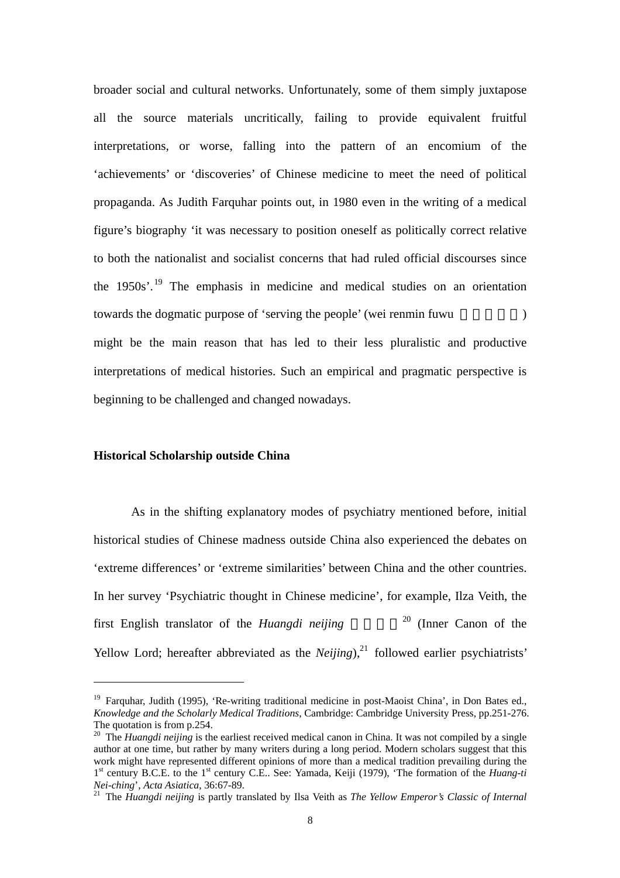<span id="page-7-2"></span>broader social and cultural networks. Unfortunately, some of them simply juxtapose all the source materials uncritically, failing to provide equivalent fruitful interpretations, or worse, falling into the pattern of an encomium of the 'achievements' or 'discoveries' of Chinese medicine to meet the need of political propaganda. As Judith Farquhar points out, in 1980 even in the writing of a medical figure's biography 'it was necessary to position oneself as politically correct relative to both the nationalist and socialist concerns that had ruled official discourses since the  $1950s'$  $1950s'$ .<sup>19</sup> The emphasis in medicine and medical studies on an orientation towards the dogmatic purpose of 'serving the people' (wei renmin fuwu ) might be the main reason that has led to their less pluralistic and productive interpretations of medical histories. Such an empirical and pragmatic perspective is beginning to be challenged and changed nowadays.

#### **Historical Scholarship outside China**

 $\overline{a}$ 

As in the shifting explanatory modes of psychiatry mentioned before, initial historical studies of Chinese madness outside China also experienced the debates on 'extreme differences' or 'extreme similarities' between China and the other countries. In her survey 'Psychiatric thought in Chinese medicine', for example, Ilza Veith, the first English translator of the *Huangdi neijing* <sup>[20](#page-7-1)</sup> (Inner Canon of the Yellow Lord; hereafter abbreviated as the *Neijing*), $^{21}$  $^{21}$  $^{21}$  followed earlier psychiatrists'

<span id="page-7-0"></span><sup>&</sup>lt;sup>19</sup> Farquhar, Judith (1995), 'Re-writing traditional medicine in post-Maoist China', in Don Bates ed., *Knowledge and the Scholarly Medical Traditions*, Cambridge: Cambridge University Press, pp.251-276.

<span id="page-7-1"></span><sup>&</sup>lt;sup>20</sup> The *Huangdi neijing* is the earliest received medical canon in China. It was not compiled by a single author at one time, but rather by many writers during a long period. Modern scholars suggest that this work might have represented different opinions of more than a medical tradition prevailing during the 1st century B.C.E. to the 1st century C.E.. See: Yamada, Keiji (1979), 'The formation of the *Huang-ti Nei-ching*', *Acta Asiatica*, 36:67-89. 21 The *Huangdi neijing* is partly translated by Ilsa Veith as *The Yellow Emperor's Classic of Internal*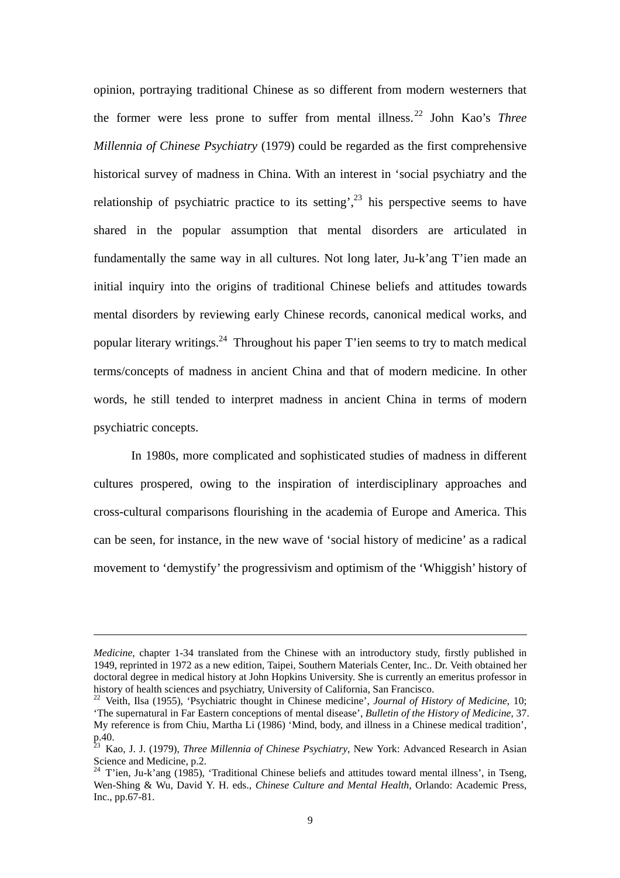opinion, portraying traditional Chinese as so different from modern westerners that the former were less prone to suffer from mental illness. [22](#page-8-0) John Kao's *Three Millennia of Chinese Psychiatry* (1979) could be regarded as the first comprehensive historical survey of madness in China. With an interest in 'social psychiatry and the relationship of psychiatric practice to its setting',  $2^3$  his perspective seems to have shared in the popular assumption that mental disorders are articulated in fundamentally the same way in all cultures. Not long later, Ju-k'ang T'ien made an initial inquiry into the origins of traditional Chinese beliefs and attitudes towards mental disorders by reviewing early Chinese records, canonical medical works, and popular literary writings.<sup>[24](#page-8-2)</sup> Throughout his paper T'ien seems to try to match medical terms/concepts of madness in ancient China and that of modern medicine. In other words, he still tended to interpret madness in ancient China in terms of modern psychiatric concepts.

In 1980s, more complicated and sophisticated studies of madness in different cultures prospered, owing to the inspiration of interdisciplinary approaches and cross-cultural comparisons flourishing in the academia of Europe and America. This can be seen, for instance, in the new wave of 'social history of medicine' as a radical movement to 'demystify' the progressivism and optimism of the 'Whiggish' history of

1

*Medicine*, chapter 1-34 translated from the Chinese with an introductory study, firstly published in 1949, reprinted in 1972 as a new edition, Taipei, Southern Materials Center, Inc.. Dr. Veith obtained her doctoral degree in medical history at John Hopkins University. She is currently an emeritus professor in history of health sciences and psychiatry, University of California, San Francisco.<br><sup>22</sup> Veith, Ilsa (1955), 'Psychiatric thought in Chinese medicine', *Journal of History of Medicine*, 10;

<span id="page-8-0"></span><sup>&#</sup>x27;The supernatural in Far Eastern conceptions of mental disease', *Bulletin of the History of Medicine*, 37. My reference is from Chiu, Martha Li (1986) 'Mind, body, and illness in a Chinese medical tradition',

<span id="page-8-1"></span>p.40.<br><sup>23</sup> Kao, J. J. (1979), *Three Millennia of Chinese Psychiatry*, New York: Advanced Research in Asian Science and Medicine, p.2.

<span id="page-8-2"></span> $24$  T'ien, Ju-k'ang (1985), 'Traditional Chinese beliefs and attitudes toward mental illness', in Tseng, Wen-Shing & Wu, David Y. H. eds., *Chinese Culture and Mental Health*, Orlando: Academic Press, Inc., pp.67-81.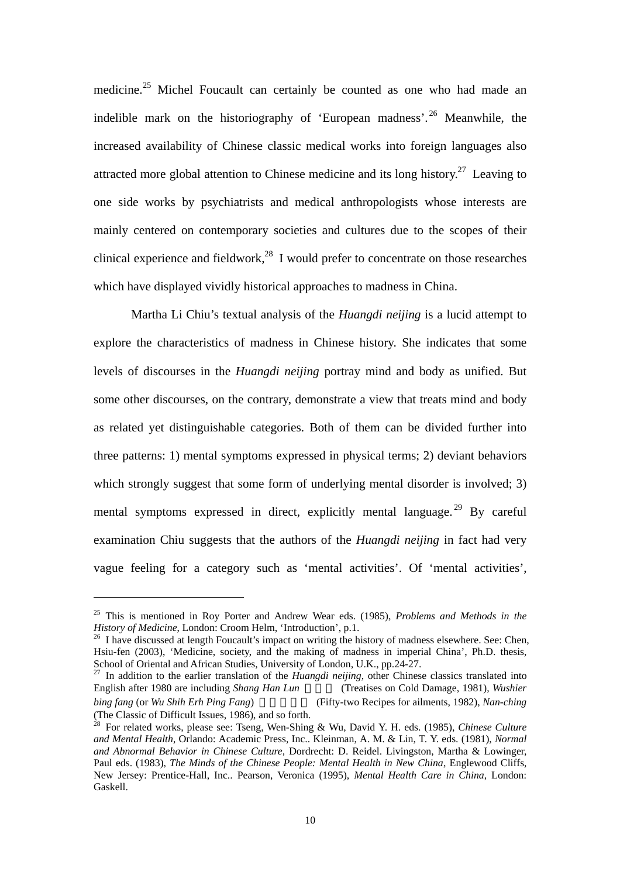medicine.<sup>[25](#page-9-0)</sup> Michel Foucault can certainly be counted as one who had made an indelible mark on the historiography of 'European madness'.[26](#page-9-1) Meanwhile, the increased availability of Chinese classic medical works into foreign languages also attracted more global attention to Chinese medicine and its long history.<sup>27</sup> Leaving to one side works by psychiatrists and medical anthropologists whose interests are mainly centered on contemporary societies and cultures due to the scopes of their clinical experience and fieldwork, $^{28}$  I would prefer to concentrate on those researches which have displayed vividly historical approaches to madness in China.

Martha Li Chiu's textual analysis of the *Huangdi neijing* is a lucid attempt to explore the characteristics of madness in Chinese history. She indicates that some levels of discourses in the *Huangdi neijing* portray mind and body as unified. But some other discourses, on the contrary, demonstrate a view that treats mind and body as related yet distinguishable categories. Both of them can be divided further into three patterns: 1) mental symptoms expressed in physical terms; 2) deviant behaviors which strongly suggest that some form of underlying mental disorder is involved; 3) mental symptoms expressed in direct, explicitly mental language.<sup>29</sup> By careful examination Chiu suggests that the authors of the *Huangdi neijing* in fact had very vague feeling for a category such as 'mental activities'. Of 'mental activities',

<span id="page-9-0"></span><sup>25</sup> This is mentioned in Roy Porter and Andrew Wear eds. (1985), *Problems and Methods in the History of Medicine*, London: Croom Helm, 'Introduction', p.1.<br><sup>26</sup> I have discussed at length Foucault's impact on writing the history of madness elsewhere. See: Chen,

<span id="page-9-1"></span>Hsiu-fen (2003), 'Medicine, society, and the making of madness in imperial China', Ph.D. thesis, School of Oriental and African Studies, University of London, U.K., pp.24-27.<br><sup>27</sup> In addition to the earlier translation of the *Huangdi neijing*, other Chinese classics translated into

<span id="page-9-2"></span>English after 1980 are including *Shang Han Lun* (Treatises on Cold Damage, 1981), *Wushier bing fang* (or *Wu Shih Erh Ping Fang*) (Fifty-two Recipes for ailments, 1982), *Nan-ching* (The Classic of Difficult Issues, 1986), and so forth.

<span id="page-9-4"></span><span id="page-9-3"></span> $\beta$  For related works, please see: Tseng, Wen-Shing & Wu, David Y. H. eds. (1985), *Chinese Culture and Mental Health*, Orlando: Academic Press, Inc.. Kleinman, A. M. & Lin, T. Y. eds. (1981), *Normal and Abnormal Behavior in Chinese Culture*, Dordrecht: D. Reidel. Livingston, Martha & Lowinger, Paul eds. (1983), *The Minds of the Chinese People: Mental Health in New China*, Englewood Cliffs, New Jersey: Prentice-Hall, Inc.. Pearson, Veronica (1995), *Mental Health Care in China*, London: Gaskell.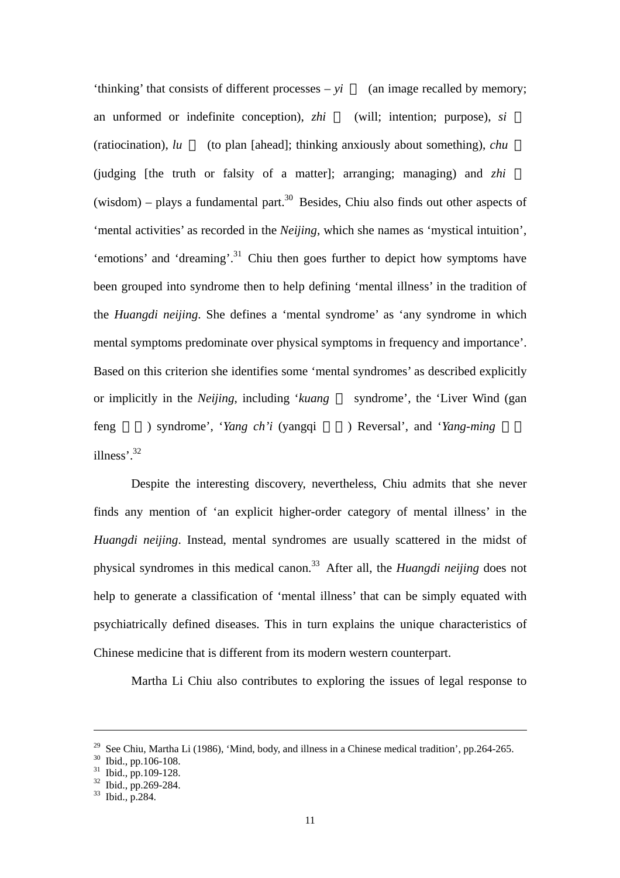'thinking' that consists of different processes – *yi* (an image recalled by memory; an unformed or indefinite conception), *zhi* (will; intention; purpose), *si* (ratiocination), *lu* (to plan [ahead]; thinking anxiously about something), *chu* (judging [the truth or falsity of a matter]; arranging; managing) and *zhi* (wisdom) – plays a fundamental part.<sup>30</sup> Besides, Chiu also finds out other aspects of 'mental activities' as recorded in the *Neijing*, which she names as 'mystical intuition', 'emotions' and 'dreaming'.<sup>31</sup> Chiu then goes further to depict how symptoms have been grouped into syndrome then to help defining 'mental illness' in the tradition of the *Huangdi neijing*. She defines a 'mental syndrome' as 'any syndrome in which mental symptoms predominate over physical symptoms in frequency and importance'. Based on this criterion she identifies some 'mental syndromes' as described explicitly or implicitly in the *Neijing*, including '*kuang* syndrome', the 'Liver Wind (gan feng ) syndrome', '*Yang ch'i* (yangqi ) Reversal', and '*Yang-ming* illness'.<sup>32</sup>

Despite the interesting discovery, nevertheless, Chiu admits that she never finds any mention of 'an explicit higher-order category of mental illness' in the *Huangdi neijing*. Instead, mental syndromes are usually scattered in the midst of physical syndromes in this medical canon.[33](#page-10-3) After all, the *Huangdi neijing* does not help to generate a classification of 'mental illness' that can be simply equated with psychiatrically defined diseases. This in turn explains the unique characteristics of Chinese medicine that is different from its modern western counterpart.

Martha Li Chiu also contributes to exploring the issues of legal response to

<u>.</u>

<sup>&</sup>lt;sup>29</sup> See Chiu, Martha Li (1986), 'Mind, body, and illness in a Chinese medical tradition', pp.264-265.<br><sup>30</sup> Ibid., pp.106-108.<br><sup>31</sup> Ibid., pp.109-128.<br><sup>32</sup> Ibid., pp.269-284.<br><sup>33</sup> Ibid., p.284.

<span id="page-10-0"></span>

<span id="page-10-1"></span>

<span id="page-10-2"></span>

<span id="page-10-3"></span>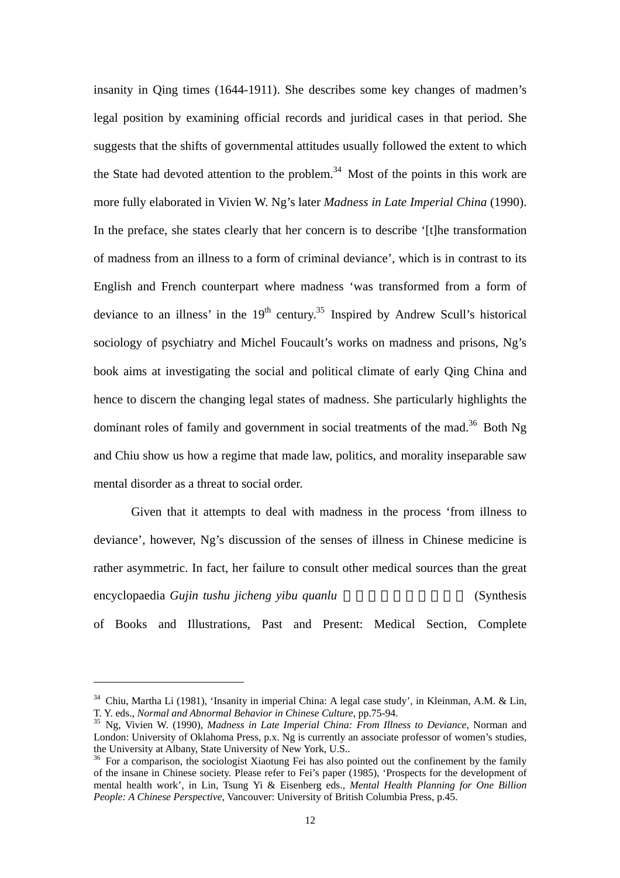insanity in Qing times (1644-1911). She describes some key changes of madmen's legal position by examining official records and juridical cases in that period. She suggests that the shifts of governmental attitudes usually followed the extent to which the State had devoted attention to the problem.<sup>[34](#page-11-0)</sup> Most of the points in this work are more fully elaborated in Vivien W. Ng's later *Madness in Late Imperial China* (1990). In the preface, she states clearly that her concern is to describe '[t]he transformation of madness from an illness to a form of criminal deviance', which is in contrast to its English and French counterpart where madness 'was transformed from a form of deviance to an illness' in the  $19<sup>th</sup>$  century.<sup>[35](#page-11-1)</sup> Inspired by Andrew Scull's historical sociology of psychiatry and Michel Foucault's works on madness and prisons, Ng's book aims at investigating the social and political climate of early Qing China and hence to discern the changing legal states of madness. She particularly highlights the dominant roles of family and government in social treatments of the mad.<sup>36</sup> Both Ng and Chiu show us how a regime that made law, politics, and morality inseparable saw mental disorder as a threat to social order.

Given that it attempts to deal with madness in the process 'from illness to deviance', however, Ng's discussion of the senses of illness in Chinese medicine is rather asymmetric. In fact, her failure to consult other medical sources than the great encyclopaedia *Gujin tushu jicheng yibu quanlu* (Synthesis) of Books and Illustrations, Past and Present: Medical Section, Complete

<span id="page-11-0"></span><sup>&</sup>lt;sup>34</sup> Chiu, Martha Li (1981), 'Insanity in imperial China: A legal case study', in Kleinman, A.M. & Lin, T. Y. eds., *Normal and Abnormal Behavior in Chinese Culture*, pp.75-94.

<span id="page-11-1"></span>T. Y. eds., *Normal and Abnormal Behavior in Chinese Culture*, pp.75-94. 35 Ng, Vivien W. (1990), *Madness in Late Imperial China: From Illness to Deviance*, Norman and London: University of Oklahoma Press, p.x. Ng is currently an associate professor of women's studies, the University at Albany. State University of New York. U.S..

<span id="page-11-2"></span> $10<sup>36</sup>$  For a comparison, the sociologist Xiaotung Fei has also pointed out the confinement by the family of the insane in Chinese society. Please refer to Fei's paper (1985), 'Prospects for the development of mental health work', in Lin, Tsung Yi & Eisenberg eds., *Mental Health Planning for One Billion People: A Chinese Perspective*, Vancouver: University of British Columbia Press, p.45.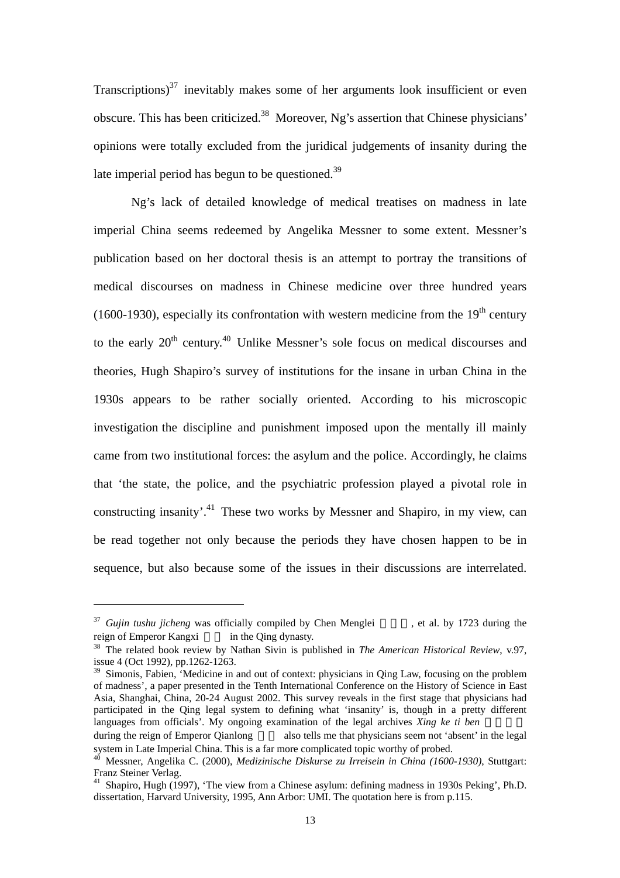Transcriptions) $37$  inevitably makes some of her arguments look insufficient or even obscure. This has been criticized[.38](#page-12-1) Moreover, Ng's assertion that Chinese physicians' opinions were totally excluded from the juridical judgements of insanity during the late imperial period has begun to be questioned. $39$ 

Ng's lack of detailed knowledge of medical treatises on madness in late imperial China seems redeemed by Angelika Messner to some extent. Messner's publication based on her doctoral thesis is an attempt to portray the transitions of medical discourses on madness in Chinese medicine over three hundred years (1600-1930), especially its confrontation with western medicine from the  $19<sup>th</sup>$  century to the early  $20<sup>th</sup>$  century.<sup>[40](#page-12-3)</sup> Unlike Messner's sole focus on medical discourses and theories, Hugh Shapiro's survey of institutions for the insane in urban China in the 1930s appears to be rather socially oriented. According to his microscopic investigation the discipline and punishment imposed upon the mentally ill mainly came from two institutional forces: the asylum and the police. Accordingly, he claims that 'the state, the police, and the psychiatric profession played a pivotal role in constructing insanity'[.41](#page-12-4) These two works by Messner and Shapiro, in my view, can be read together not only because the periods they have chosen happen to be in sequence, but also because some of the issues in their discussions are interrelated.

 $\overline{a}$ 

<span id="page-12-2"></span>of madness', a paper presented in the Tenth International Conference on the History of Science in East Asia, Shanghai, China, 20-24 August 2002. This survey reveals in the first stage that physicians had participated in the Qing legal system to defining what 'insanity' is, though in a pretty different languages from officials'. My ongoing examination of the legal archives *Xing ke ti ben* 

<span id="page-12-0"></span> $37$  *Gujin tushu jicheng* was officially compiled by Chen Menglei , et al. by 1723 during the reign of Emperor Kangxi in the Oing dynasty.

<span id="page-12-1"></span><sup>38</sup> The related book review by Nathan Sivin is published in *The American Historical Review*, v.97, issue 4 (Oct 1992), pp.1262-1263. 39 Simonis, Fabien, 'Medicine in and out of context: physicians in Qing Law, focusing on the problem

during the reign of Emperor Qianlong also tells me that physicians seem not 'absent' in the legal system in Late Imperial China. This is a far more complicated topic worthy of probed.

<span id="page-12-3"></span>system in Late Imperial China. The Imperial China. The Messner, Angelika C. (2000), *Medizinische Diskurse zu Irreisein in China (1600-1930)*, Stuttgart:<br>Franz Steiner Verlag.

<span id="page-12-4"></span><sup>&</sup>lt;sup>41</sup> Shapiro, Hugh (1997), 'The view from a Chinese asylum: defining madness in 1930s Peking', Ph.D. dissertation, Harvard University, 1995, Ann Arbor: UMI. The quotation here is from p.115.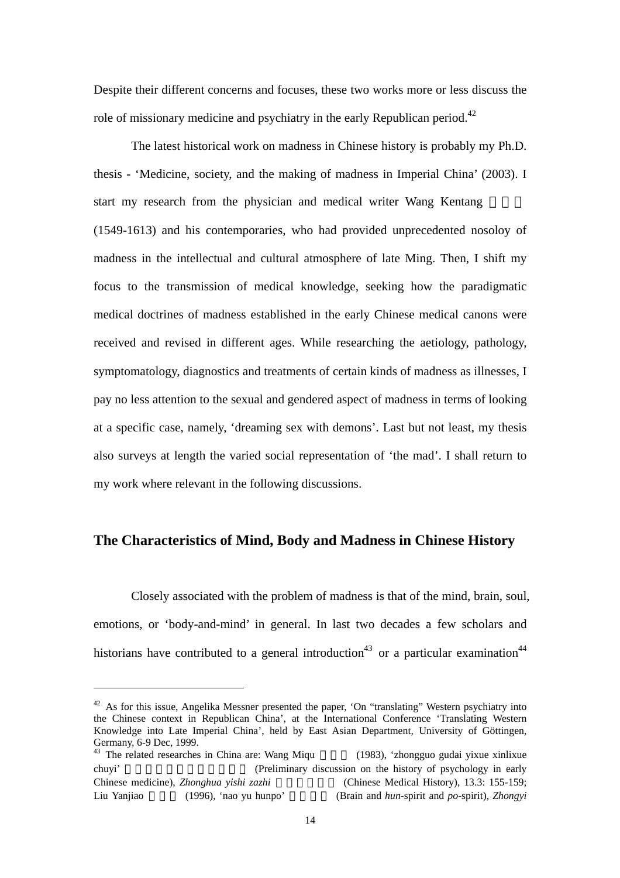<span id="page-13-1"></span>Despite their different concerns and focuses, these two works more or less discuss the role of missionary medicine and psychiatry in the early Republican period.<sup>[42](#page-13-0)</sup>

The latest historical work on madness in Chinese history is probably my Ph.D. thesis - 'Medicine, society, and the making of madness in Imperial China' (2003). I start my research from the physician and medical writer Wang Kentang (1549-1613) and his contemporaries, who had provided unprecedented nosoloy of madness in the intellectual and cultural atmosphere of late Ming. Then, I shift my focus to the transmission of medical knowledge, seeking how the paradigmatic medical doctrines of madness established in the early Chinese medical canons were received and revised in different ages. While researching the aetiology, pathology, symptomatology, diagnostics and treatments of certain kinds of madness as illnesses, I pay no less attention to the sexual and gendered aspect of madness in terms of looking at a specific case, namely, 'dreaming sex with demons'. Last but not least, my thesis also surveys at length the varied social representation of 'the mad'. I shall return to my work where relevant in the following discussions.

#### **The Characteristics of Mind, Body and Madness in Chinese History**

<span id="page-13-2"></span>Closely associated with the problem of madness is that of the mind, brain, soul, emotions, or 'body-and-mind' in general. In last two decades a few scholars and historians have contributed to a general introduction<sup>43</sup> or a particular examination<sup>[44](#page-13-2)</sup>

<span id="page-13-0"></span> $42$  As for this issue, Angelika Messner presented the paper, 'On "translating" Western psychiatry into the Chinese context in Republican China', at the International Conference 'Translating Western Knowledge into Late Imperial China', held by East Asian Department, University of Göttingen,

 $^{43}$  The related researches in China are: Wang Miqu (1983), 'zhongguo gudai yixue xinlixue chuyi' (Preliminary discussion on the history of psychology in early Chinese medicine), *Zhonghua yishi zazhi* (Chinese Medical History), 13.3: 155-159; Liu Yanjiao 劉豔驕 (1996), 'nao yu hunpo' 與魂魄 (Brain and *hun*-spirit and *po*-spirit), *Zhongyi*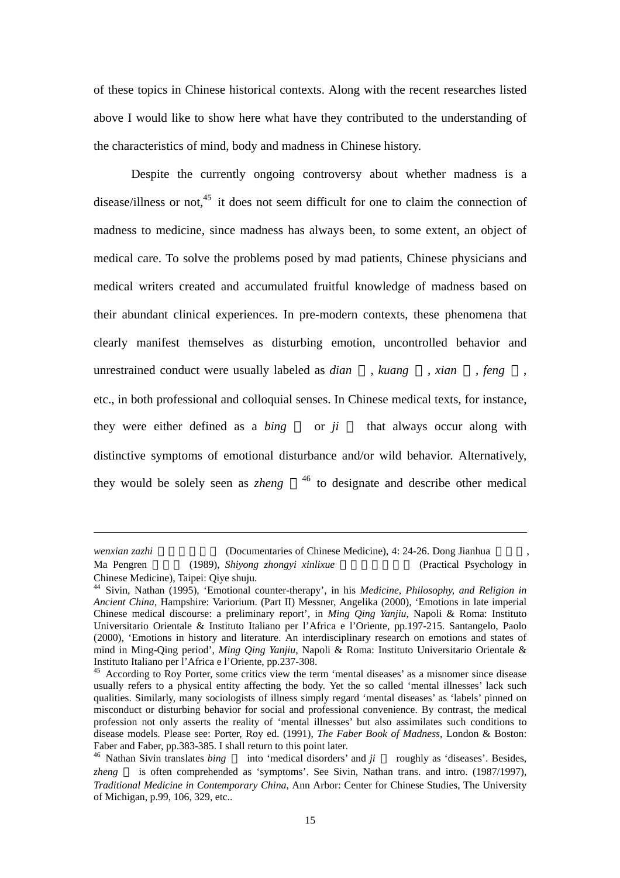of these topics in Chinese historical contexts. Along with the recent researches listed above I would like to show here what have they contributed to the understanding of the characteristics of mind, body and madness in Chinese history.

Despite the currently ongoing controversy about whether madness is a disease/illness or not, $45$  it does not seem difficult for one to claim the connection of madness to medicine, since madness has always been, to some extent, an object of medical care. To solve the problems posed by mad patients, Chinese physicians and medical writers created and accumulated fruitful knowledge of madness based on their abundant clinical experiences. In pre-modern contexts, these phenomena that clearly manifest themselves as disturbing emotion, uncontrolled behavior and unrestrained conduct were usually labeled as *dian* , *kuang* , *xian* , *feng* , etc., in both professional and colloquial senses. In Chinese medical texts, for instance, they were either defined as a *bing* or *ji* that always occur along with distinctive symptoms of emotional disturbance and/or wild behavior. Alternatively, they would be solely seen as *zheng* <sup>[46](#page-14-1)</sup> to designate and describe other medical

*wenxian zazhi* (Documentaries of Chinese Medicine), 4: 24-26. Dong Jianhua

1

Ma Pengren (1989), *Shiyong zhongyi xinlixue* (Practical Psychology in Chinese Medicine), Taipei: Qiye shuju. <sup>44</sup> Sivin, Nathan (1995), 'Emotional counter-therapy', in his *Medicine, Philosophy, and Religion in*

*Ancient China*, Hampshire: Variorium. (Part II) Messner, Angelika (2000), 'Emotions in late imperial Chinese medical discourse: a preliminary report', in *Ming Qing Yanjiu*, Napoli & Roma: Instituto Universitario Orientale & Instituto Italiano per l'Africa e l'Oriente, pp.197-215. Santangelo, Paolo (2000), 'Emotions in history and literature. An interdisciplinary research on emotions and states of mind in Ming-Qing period', *Ming Qing Yanjiu*, Napoli & Roma: Instituto Universitario Orientale & Instituto Italiano per l'Africa e l'Oriente, pp.237-308.<br><sup>45</sup> According to Roy Porter, some critics view the term 'mental diseases' as a misnomer since disease

<span id="page-14-0"></span>usually refers to a physical entity affecting the body. Yet the so called 'mental illnesses' lack such qualities. Similarly, many sociologists of illness simply regard 'mental diseases' as 'labels' pinned on misconduct or disturbing behavior for social and professional convenience. By contrast, the medical profession not only asserts the reality of 'mental illnesses' but also assimilates such conditions to disease models. Please see: Porter, Roy ed. (1991), *The Faber Book of Madness*, London & Boston: Faber and Faber, pp.383-385. I shall return to this point later.

<span id="page-14-1"></span><sup>&</sup>lt;sup>46</sup> Nathan Sivin translates *bing* into 'medical disorders' and *ji* roughly as 'diseases'. Besides, *zheng* is often comprehended as 'symptoms'. See Sivin, Nathan trans. and intro. (1987/1997), *Traditional Medicine in Contemporary China*, Ann Arbor: Center for Chinese Studies, The University of Michigan, p.99, 106, 329, etc..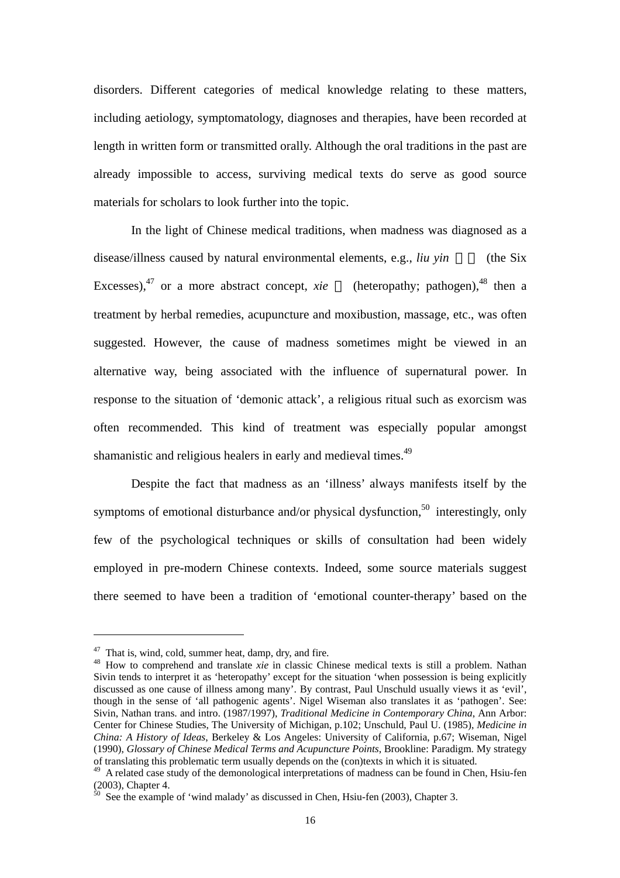disorders. Different categories of medical knowledge relating to these matters, including aetiology, symptomatology, diagnoses and therapies, have been recorded at length in written form or transmitted orally. Although the oral traditions in the past are already impossible to access, surviving medical texts do serve as good source materials for scholars to look further into the topic.

In the light of Chinese medical traditions, when madness was diagnosed as a disease/illness caused by natural environmental elements, e.g., *liu yin* (the Six Excesses),  $47$  or a more abstract concept, *xie* (heteropathy; pathogen),  $48$  then a treatment by herbal remedies, acupuncture and moxibustion, massage, etc., was often suggested. However, the cause of madness sometimes might be viewed in an alternative way, being associated with the influence of supernatural power. In response to the situation of 'demonic attack', a religious ritual such as exorcism was often recommended. This kind of treatment was especially popular amongst shamanistic and religious healers in early and medieval times.<sup>[49](#page-15-2)</sup>

Despite the fact that madness as an 'illness' always manifests itself by the symptoms of emotional disturbance and/or physical dysfunction,<sup>50</sup> interestingly, only few of the psychological techniques or skills of consultation had been widely employed in pre-modern Chinese contexts. Indeed, some source materials suggest there seemed to have been a tradition of 'emotional counter-therapy' based on the

<span id="page-15-1"></span><span id="page-15-0"></span>

<sup>&</sup>lt;sup>47</sup> That is, wind, cold, summer heat, damp, dry, and fire.<br><sup>48</sup> How to comprehend and translate *xie* in classic Chinese medical texts is still a problem. Nathan Sivin tends to interpret it as 'heteropathy' except for the situation 'when possession is being explicitly discussed as one cause of illness among many'. By contrast, Paul Unschuld usually views it as 'evil', though in the sense of 'all pathogenic agents'. Nigel Wiseman also translates it as 'pathogen'. See: Sivin, Nathan trans. and intro. (1987/1997), *Traditional Medicine in Contemporary China*, Ann Arbor: Center for Chinese Studies, The University of Michigan, p.102; Unschuld, Paul U. (1985), *Medicine in China: A History of Ideas*, Berkeley & Los Angeles: University of California, p.67; Wiseman, Nigel (1990), *Glossary of Chinese Medical Terms and Acupuncture Points*, Brookline: Paradigm. My strategy

<span id="page-15-2"></span> $\frac{49}{49}$  A related case study of the demonological interpretations of madness can be found in Chen, Hsiu-fen (2003), Chapter 4.  $\frac{50}{50}$  See the example of 'wind malady' as discussed in Chen, Hsiu-fen (2003), Chapter 3.

<span id="page-15-3"></span>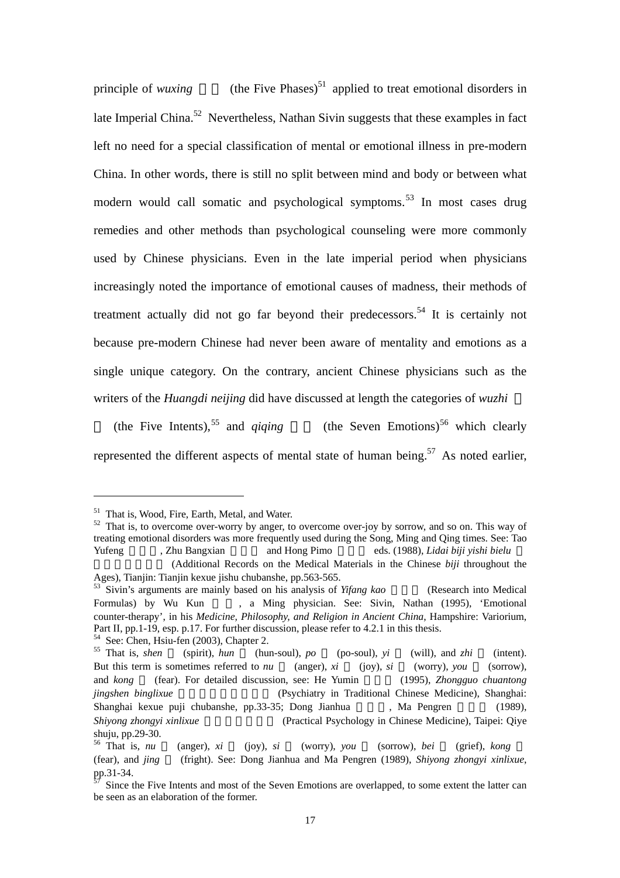principle of *wuxing* (the Five Phases)<sup>[51](#page-16-0)</sup> applied to treat emotional disorders in late Imperial China.<sup>[52](#page-16-1)</sup> Nevertheless, Nathan Sivin suggests that these examples in fact left no need for a special classification of mental or emotional illness in pre-modern China. In other words, there is still no split between mind and body or between what modern would call somatic and psychological symptoms.<sup>[53](#page-16-2)</sup> In most cases drug remedies and other methods than psychological counseling were more commonly used by Chinese physicians. Even in the late imperial period when physicians increasingly noted the importance of emotional causes of madness, their methods of treatment actually did not go far beyond their predecessors.<sup>[54](#page-16-3)</sup> It is certainly not because pre-modern Chinese had never been aware of mentality and emotions as a single unique category. On the contrary, ancient Chinese physicians such as the writers of the *Huangdi neijing* did have discussed at length the categories of *wuzhi*

(the Five Intents),<sup>55</sup> and *qiqing* (the Seven Emotions)<sup>[56](#page-16-5)</sup> which clearly represented the different aspects of mental state of human being.<sup>57</sup> As noted earlier,

<span id="page-16-1"></span><span id="page-16-0"></span>

<sup>&</sup>lt;sup>51</sup> That is, Wood, Fire, Earth, Metal, and Water.<br><sup>52</sup> That is, to overcome over-worry by anger, to overcome over-joy by sorrow, and so on. This way of treating emotional disorders was more frequently used during the Song, Ming and Qing times. See: Tao Yufeng , Zhu Bangxian and Hong Pimo eds. (1988), *Lidai biji yishi bielu* 

<sup>(</sup>Additional Records on the Medical Materials in the Chinese *biji* throughout the Ages), Tianjin: Tianjin kexue jishu chubanshe, pp.563-565.

<span id="page-16-2"></span><sup>&</sup>lt;sup>53</sup> Sivin's arguments are mainly based on his analysis of *Yifang kao* (Research into Medical Formulas) by Wu Kun , a Ming physician. See: Sivin, Nathan (1995), 'Emotional counter-therapy', in his *Medicine, Philosophy, and Religion in Ancient China*, Hampshire: Variorium, Part II, pp.1-19, esp. p.17. For further discussion, please refer to 4.2.1 in this thesis.<br><sup>54</sup> See: Chen, Hsiu-fen (2003), Chapter 2.<br><sup>55</sup> That is, *shen* (spirit), *hun* (hun-soul), *po* (po-soul), *yi* (will), and *zhi* 

<span id="page-16-4"></span><span id="page-16-3"></span>But this term is sometimes referred to *nu* (anger), *xi* (joy), *si* (worry), *you* (sorrow), and *kong* (fear). For detailed discussion, see: He Yumin (1995), *Zhongguo chuantong jingshen binglixue* entertainment (Psychiatry in Traditional Chinese Medicine), Shanghai: Shanghai kexue puji chubanshe, pp.33-35; Dong Jianhua , Ma Pengren (1989), *Shiyong zhongyi xinlixue* (Practical Psychology in Chinese Medicine), Taipei: Qiye

<span id="page-16-5"></span>shuju, pp.29-30.<br><sup>56</sup> That is, *nu* (anger), *xi* (joy), *si* (worry), *you* (sorrow), *bei* (grief), *kong* (fear), and *jing* (fright). See: Dong Jianhua and Ma Pengren (1989), *Shiyong zhongyi xinlixue*,

<span id="page-16-6"></span>Since the Five Intents and most of the Seven Emotions are overlapped, to some extent the latter can be seen as an elaboration of the former.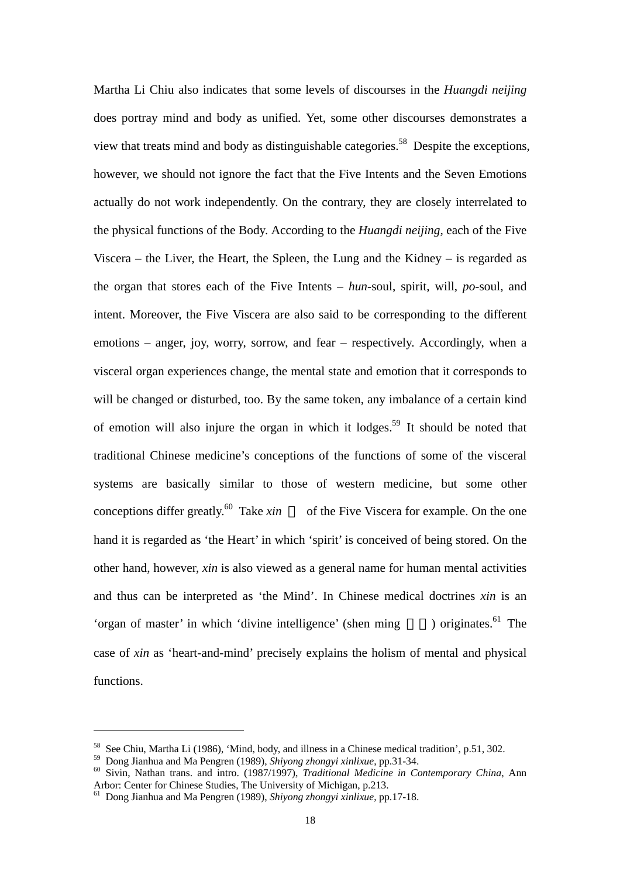Martha Li Chiu also indicates that some levels of discourses in the *Huangdi neijing* does portray mind and body as unified. Yet, some other discourses demonstrates a view that treats mind and body as distinguishable categories.<sup>[58](#page-17-0)</sup> Despite the exceptions, however, we should not ignore the fact that the Five Intents and the Seven Emotions actually do not work independently. On the contrary, they are closely interrelated to the physical functions of the Body. According to the *Huangdi neijing*, each of the Five Viscera – the Liver, the Heart, the Spleen, the Lung and the Kidney – is regarded as the organ that stores each of the Five Intents – *hun*-soul, spirit, will, *po*-soul, and intent. Moreover, the Five Viscera are also said to be corresponding to the different emotions – anger, joy, worry, sorrow, and fear – respectively. Accordingly, when a visceral organ experiences change, the mental state and emotion that it corresponds to will be changed or disturbed, too. By the same token, any imbalance of a certain kind of emotion will also injure the organ in which it lodges[.59](#page-17-1) It should be noted that traditional Chinese medicine's conceptions of the functions of some of the visceral systems are basically similar to those of western medicine, but some other conceptions differ greatly.<sup>60</sup> Take  $xin$ of the Five Viscera for example. On the one hand it is regarded as 'the Heart' in which 'spirit' is conceived of being stored. On the other hand, however, *xin* is also viewed as a general name for human mental activities and thus can be interpreted as 'the Mind'. In Chinese medical doctrines *xin* is an 'organ of master' in which 'divine intelligence' (shen ming  $\qquad$  ) originates.<sup>61</sup> The case of *xin* as 'heart-and-mind' precisely explains the holism of mental and physical functions.

<span id="page-17-0"></span>

<span id="page-17-2"></span><span id="page-17-1"></span>

<sup>&</sup>lt;sup>58</sup> See Chiu, Martha Li (1986), 'Mind, body, and illness in a Chinese medical tradition', p.51, 302.<br><sup>59</sup> Dong Jianhua and Ma Pengren (1989), *Shiyong zhongyi xinlixue*, pp.31-34.<br><sup>60</sup> Sivin, Nathan trans. and intro. (19

<span id="page-17-3"></span><sup>&</sup>lt;sup>61</sup> Dong Jianhua and Ma Pengren (1989), *Shiyong zhongyi xinlixue*, pp.17-18.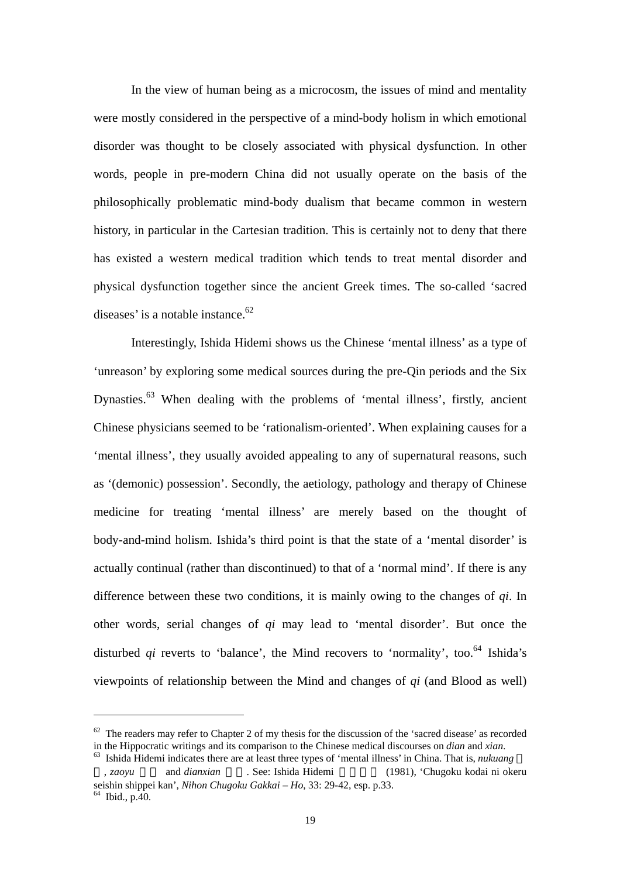In the view of human being as a microcosm, the issues of mind and mentality were mostly considered in the perspective of a mind-body holism in which emotional disorder was thought to be closely associated with physical dysfunction. In other words, people in pre-modern China did not usually operate on the basis of the philosophically problematic mind-body dualism that became common in western history, in particular in the Cartesian tradition. This is certainly not to deny that there has existed a western medical tradition which tends to treat mental disorder and physical dysfunction together since the ancient Greek times. The so-called 'sacred diseases' is a notable instance. $62$ 

Interestingly, Ishida Hidemi shows us the Chinese 'mental illness' as a type of 'unreason' by exploring some medical sources during the pre-Qin periods and the Six Dynasties.<sup>[63](#page-18-1)</sup> When dealing with the problems of 'mental illness', firstly, ancient Chinese physicians seemed to be 'rationalism-oriented'. When explaining causes for a 'mental illness', they usually avoided appealing to any of supernatural reasons, such as '(demonic) possession'. Secondly, the aetiology, pathology and therapy of Chinese medicine for treating 'mental illness' are merely based on the thought of body-and-mind holism. Ishida's third point is that the state of a 'mental disorder' is actually continual (rather than discontinued) to that of a 'normal mind'. If there is any difference between these two conditions, it is mainly owing to the changes of *qi*. In other words, serial changes of *qi* may lead to 'mental disorder'. But once the disturbed  $qi$  reverts to 'balance', the Mind recovers to 'normality', too.<sup>64</sup> Ishida's viewpoints of relationship between the Mind and changes of *qi* (and Blood as well)

<span id="page-18-0"></span> $62$  The readers may refer to Chapter 2 of my thesis for the discussion of the 'sacred disease' as recorded in the Hippocratic writings and its comparison to the Chinese medical discourses on *dian* and *xian*.

<span id="page-18-1"></span><sup>&</sup>lt;sup>63</sup> Ishida Hidemi indicates there are at least three types of 'mental illness' in China. That is, *nukuang* , *zaoyu* 躁鬱 and *dianxian* 癲癇. See: Ishida Hidemi 石田秀實 (1981), 'Chugoku kodai ni okeru

<span id="page-18-2"></span>seishin shippei kan', *Nihon Chugoku Gakkai – Ho*, 33: 29-42, esp. p.33. 64 Ibid., p.40.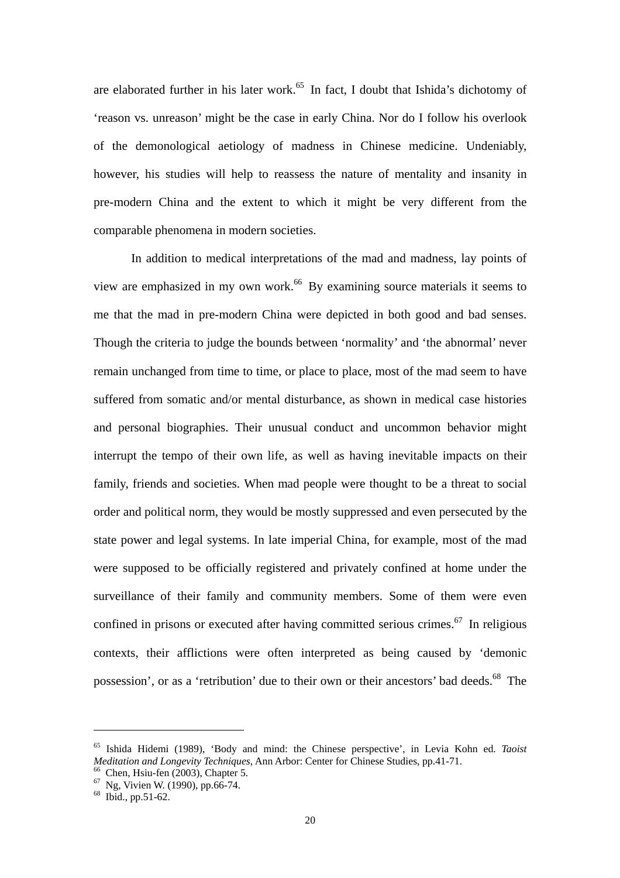are elaborated further in his later work.<sup>65</sup> In fact, I doubt that Ishida's dichotomy of 'reason vs. unreason' might be the case in early China. Nor do I follow his overlook of the demonological aetiology of madness in Chinese medicine. Undeniably, however, his studies will help to reassess the nature of mentality and insanity in pre-modern China and the extent to which it might be very different from the comparable phenomena in modern societies.

In addition to medical interpretations of the mad and madness, lay points of view are emphasized in my own work.<sup>[66](#page-19-1)</sup> By examining source materials it seems to me that the mad in pre-modern China were depicted in both good and bad senses. Though the criteria to judge the bounds between 'normality' and 'the abnormal' never remain unchanged from time to time, or place to place, most of the mad seem to have suffered from somatic and/or mental disturbance, as shown in medical case histories and personal biographies. Their unusual conduct and uncommon behavior might interrupt the tempo of their own life, as well as having inevitable impacts on their family, friends and societies. When mad people were thought to be a threat to social order and political norm, they would be mostly suppressed and even persecuted by the state power and legal systems. In late imperial China, for example, most of the mad were supposed to be officially registered and privately confined at home under the surveillance of their family and community members. Some of them were even confined in prisons or executed after having committed serious crimes.<sup>67</sup> In religious contexts, their afflictions were often interpreted as being caused by 'demonic possession', or as a 'retribution' due to their own or their ancestors' bad deeds.<sup>68</sup> The

<span id="page-19-0"></span><sup>65</sup> Ishida Hidemi (1989), 'Body and mind: the Chinese perspective', in Levia Kohn ed. *Taoist Meditation and Longevity Techniques*, Ann Arbor: Center for Chinese Studies, pp.41-71.<br><sup>66</sup> Chen, Hsiu-fen (2003), Chapter 5.<br><sup>67</sup> Ng, Vivien W. (1990), pp.66-74.<br><sup>68</sup> Ibid., pp.51-62.

<span id="page-19-1"></span>

<span id="page-19-2"></span>

<span id="page-19-3"></span>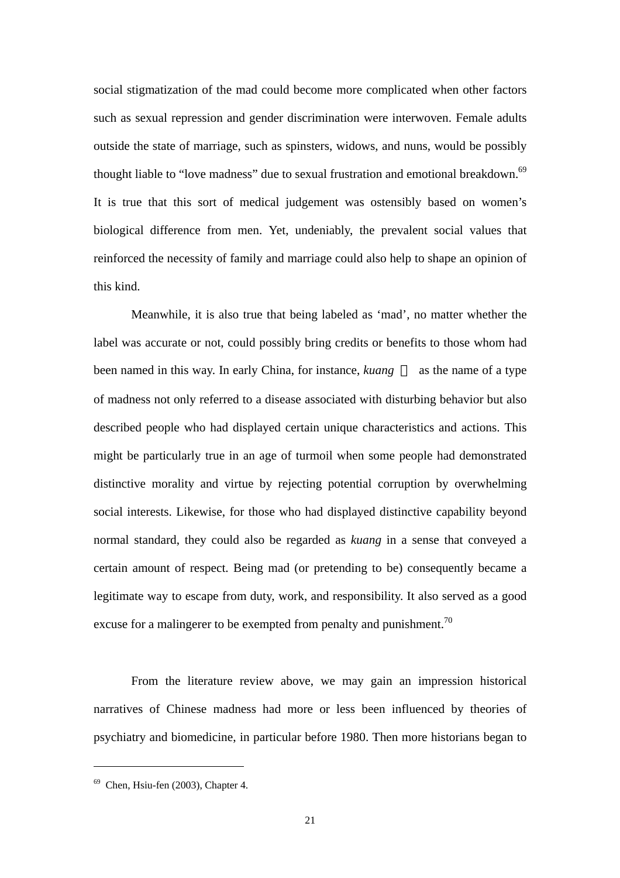social stigmatization of the mad could become more complicated when other factors such as sexual repression and gender discrimination were interwoven. Female adults outside the state of marriage, such as spinsters, widows, and nuns, would be possibly thought liable to "love madness" due to sexual frustration and emotional breakdown.<sup>[69](#page-20-0)</sup> It is true that this sort of medical judgement was ostensibly based on women's biological difference from men. Yet, undeniably, the prevalent social values that reinforced the necessity of family and marriage could also help to shape an opinion of this kind.

Meanwhile, it is also true that being labeled as 'mad', no matter whether the label was accurate or not, could possibly bring credits or benefits to those whom had been named in this way. In early China, for instance, *kuang* as the name of a type of madness not only referred to a disease associated with disturbing behavior but also described people who had displayed certain unique characteristics and actions. This might be particularly true in an age of turmoil when some people had demonstrated distinctive morality and virtue by rejecting potential corruption by overwhelming social interests. Likewise, for those who had displayed distinctive capability beyond normal standard, they could also be regarded as *kuang* in a sense that conveyed a certain amount of respect. Being mad (or pretending to be) consequently became a legitimate way to escape from duty, work, and responsibility. It also served as a good excuse for a malingerer to be exempted from penalty and punishment.<sup>70</sup>

<span id="page-20-1"></span>From the literature review above, we may gain an impression historical narratives of Chinese madness had more or less been influenced by theories of psychiatry and biomedicine, in particular before 1980. Then more historians began to

<span id="page-20-0"></span> $69$  Chen, Hsiu-fen (2003), Chapter 4.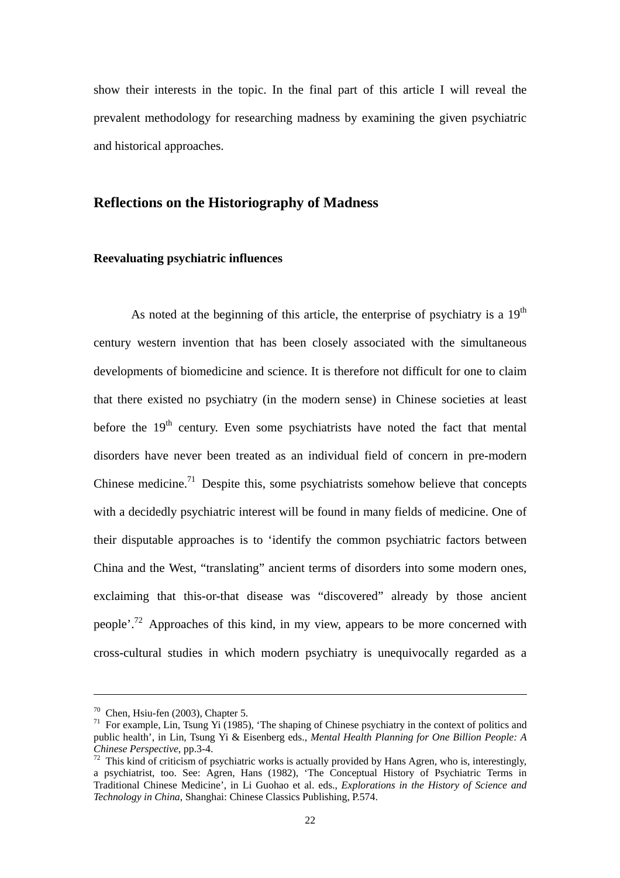show their interests in the topic. In the final part of this article I will reveal the prevalent methodology for researching madness by examining the given psychiatric and historical approaches.

### **Reflections on the Historiography of Madness**

#### **Reevaluating psychiatric influences**

As noted at the beginning of this article, the enterprise of psychiatry is a  $19<sup>th</sup>$ century western invention that has been closely associated with the simultaneous developments of biomedicine and science. It is therefore not difficult for one to claim that there existed no psychiatry (in the modern sense) in Chinese societies at least before the  $19<sup>th</sup>$  century. Even some psychiatrists have noted the fact that mental disorders have never been treated as an individual field of concern in pre-modern Chinese medicine.<sup>[71](#page-21-0)</sup> Despite this, some psychiatrists somehow believe that concepts with a decidedly psychiatric interest will be found in many fields of medicine. One of their disputable approaches is to 'identify the common psychiatric factors between China and the West, "translating" ancient terms of disorders into some modern ones, exclaiming that this-or-that disease was "discovered" already by those ancient people'.[72](#page-21-1) Approaches of this kind, in my view, appears to be more concerned with cross-cultural studies in which modern psychiatry is unequivocally regarded as a

1

<span id="page-21-0"></span>

<sup>&</sup>lt;sup>70</sup> Chen, Hsiu-fen (2003), Chapter 5.<br><sup>71</sup> For example, Lin, Tsung Yi (1985), 'The shaping of Chinese psychiatry in the context of politics and public health', in Lin, Tsung Yi & Eisenberg eds., *Mental Health Planning for One Billion People: A*

<span id="page-21-1"></span><sup>&</sup>lt;sup>72</sup> This kind of criticism of psychiatric works is actually provided by Hans Agren, who is, interestingly, a psychiatrist, too. See: Agren, Hans (1982), 'The Conceptual History of Psychiatric Terms in Traditional Chinese Medicine', in Li Guohao et al. eds., *Explorations in the History of Science and Technology in China*, Shanghai: Chinese Classics Publishing, P.574.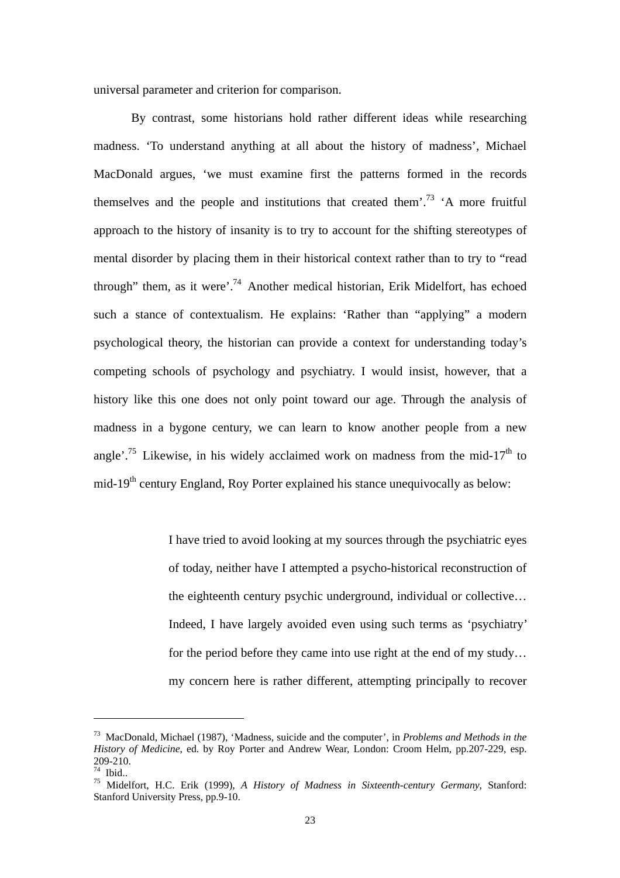universal parameter and criterion for comparison.

By contrast, some historians hold rather different ideas while researching madness. 'To understand anything at all about the history of madness', Michael MacDonald argues, 'we must examine first the patterns formed in the records themselves and the people and institutions that created them'.<sup>73</sup>  $^{\prime}$ A more fruitful approach to the history of insanity is to try to account for the shifting stereotypes of mental disorder by placing them in their historical context rather than to try to "read through" them, as it were'.<sup>[74](#page-22-1)</sup> Another medical historian, Erik Midelfort, has echoed such a stance of contextualism. He explains: 'Rather than "applying" a modern psychological theory, the historian can provide a context for understanding today's competing schools of psychology and psychiatry. I would insist, however, that a history like this one does not only point toward our age. Through the analysis of madness in a bygone century, we can learn to know another people from a new angle'.<sup>[75](#page-22-2)</sup> Likewise, in his widely acclaimed work on madness from the mid-17<sup>th</sup> to mid-19<sup>th</sup> century England, Roy Porter explained his stance unequivocally as below:

> I have tried to avoid looking at my sources through the psychiatric eyes of today, neither have I attempted a psycho-historical reconstruction of the eighteenth century psychic underground, individual or collective… Indeed, I have largely avoided even using such terms as 'psychiatry' for the period before they came into use right at the end of my study… my concern here is rather different, attempting principally to recover

<span id="page-22-0"></span><sup>73</sup> MacDonald, Michael (1987), 'Madness, suicide and the computer', in *Problems and Methods in the History of Medicine*, ed. by Roy Porter and Andrew Wear, London: Croom Helm, pp.207-229, esp. 209-210. 74 Ibid.. 75 Midelfort, H.C. Erik (1999), *A History of Madness in Sixteenth-century Germany*, Stanford:

<span id="page-22-1"></span>

<span id="page-22-2"></span>Stanford University Press, pp.9-10.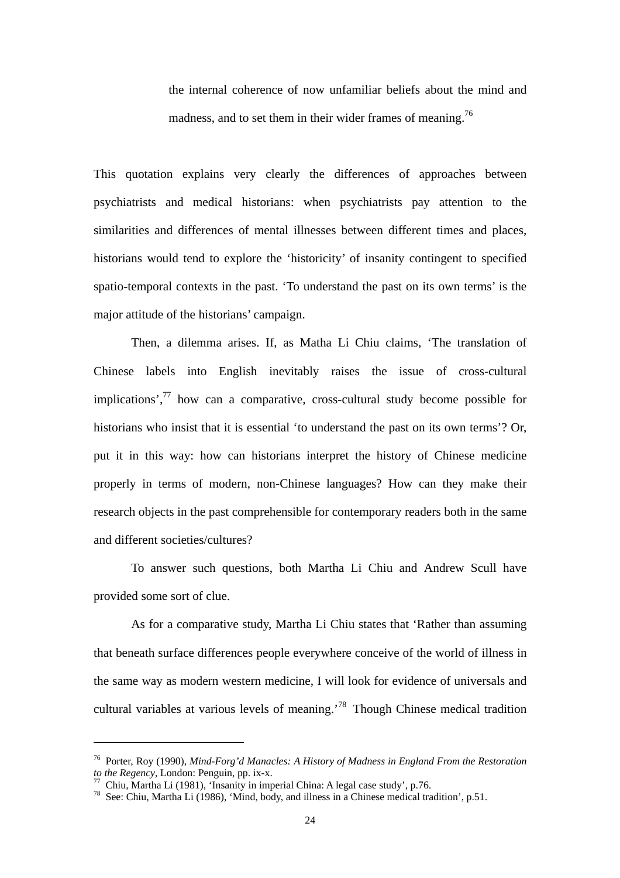the internal coherence of now unfamiliar beliefs about the mind and madness, and to set them in their wider frames of meaning.<sup>76</sup>

This quotation explains very clearly the differences of approaches between psychiatrists and medical historians: when psychiatrists pay attention to the similarities and differences of mental illnesses between different times and places, historians would tend to explore the 'historicity' of insanity contingent to specified spatio-temporal contexts in the past. 'To understand the past on its own terms' is the major attitude of the historians' campaign.

Then, a dilemma arises. If, as Matha Li Chiu claims, 'The translation of Chinese labels into English inevitably raises the issue of cross-cultural implications', $^{77}$  how can a comparative, cross-cultural study become possible for historians who insist that it is essential 'to understand the past on its own terms'? Or, put it in this way: how can historians interpret the history of Chinese medicine properly in terms of modern, non-Chinese languages? How can they make their research objects in the past comprehensible for contemporary readers both in the same and different societies/cultures?

To answer such questions, both Martha Li Chiu and Andrew Scull have provided some sort of clue.

As for a comparative study, Martha Li Chiu states that 'Rather than assuming that beneath surface differences people everywhere conceive of the world of illness in the same way as modern western medicine, I will look for evidence of universals and cultural variables at various levels of meaning.'[78](#page-23-2) Though Chinese medical tradition

<span id="page-23-0"></span><sup>76</sup> Porter, Roy (1990), *Mind-Forg'd Manacles: A History of Madness in England From the Restoration* 

<span id="page-23-2"></span><span id="page-23-1"></span>

<sup>&</sup>lt;sup>77</sup> Chiu, Martha Li (1981), 'Insanity in imperial China: A legal case study', p.76.<br><sup>78</sup> See: Chiu, Martha Li (1986), 'Mind, body, and illness in a Chinese medical tradition', p.51.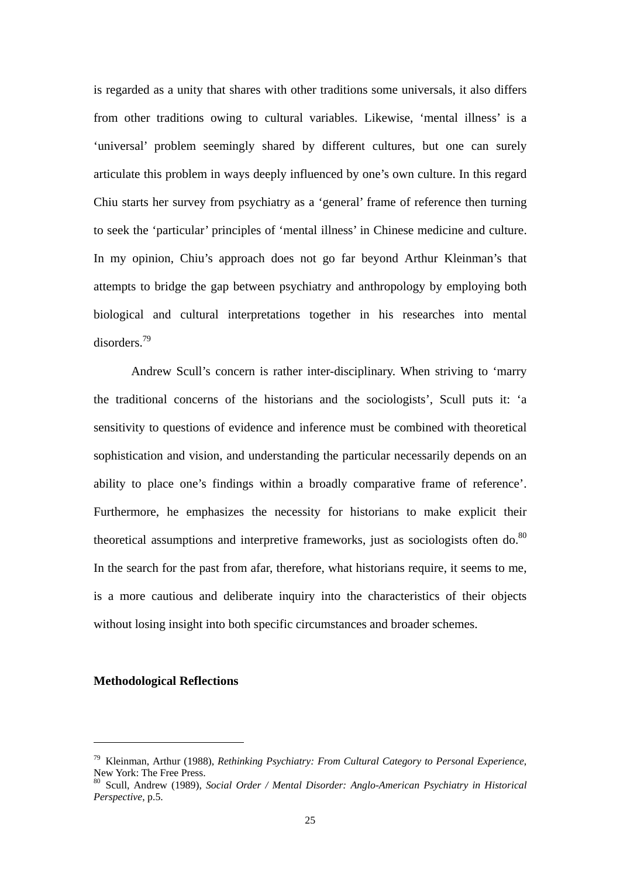is regarded as a unity that shares with other traditions some universals, it also differs from other traditions owing to cultural variables. Likewise, 'mental illness' is a 'universal' problem seemingly shared by different cultures, but one can surely articulate this problem in ways deeply influenced by one's own culture. In this regard Chiu starts her survey from psychiatry as a 'general' frame of reference then turning to seek the 'particular' principles of 'mental illness' in Chinese medicine and culture. In my opinion, Chiu's approach does not go far beyond Arthur Kleinman's that attempts to bridge the gap between psychiatry and anthropology by employing both biological and cultural interpretations together in his researches into mental disorders.[79](#page-24-0) 

Andrew Scull's concern is rather inter-disciplinary. When striving to 'marry the traditional concerns of the historians and the sociologists', Scull puts it: 'a sensitivity to questions of evidence and inference must be combined with theoretical sophistication and vision, and understanding the particular necessarily depends on an ability to place one's findings within a broadly comparative frame of reference'. Furthermore, he emphasizes the necessity for historians to make explicit their theoretical assumptions and interpretive frameworks, just as sociologists often do. $80$ In the search for the past from afar, therefore, what historians require, it seems to me, is a more cautious and deliberate inquiry into the characteristics of their objects without losing insight into both specific circumstances and broader schemes.

#### **Methodological Reflections**

<span id="page-24-0"></span><sup>79</sup> Kleinman, Arthur (1988), *Rethinking Psychiatry: From Cultural Category to Personal Experience*,

<span id="page-24-1"></span>New York: The Free Press. 80 Scull, Andrew (1989), *Social Order / Mental Disorder: Anglo-American Psychiatry in Historical Perspective*, p.5.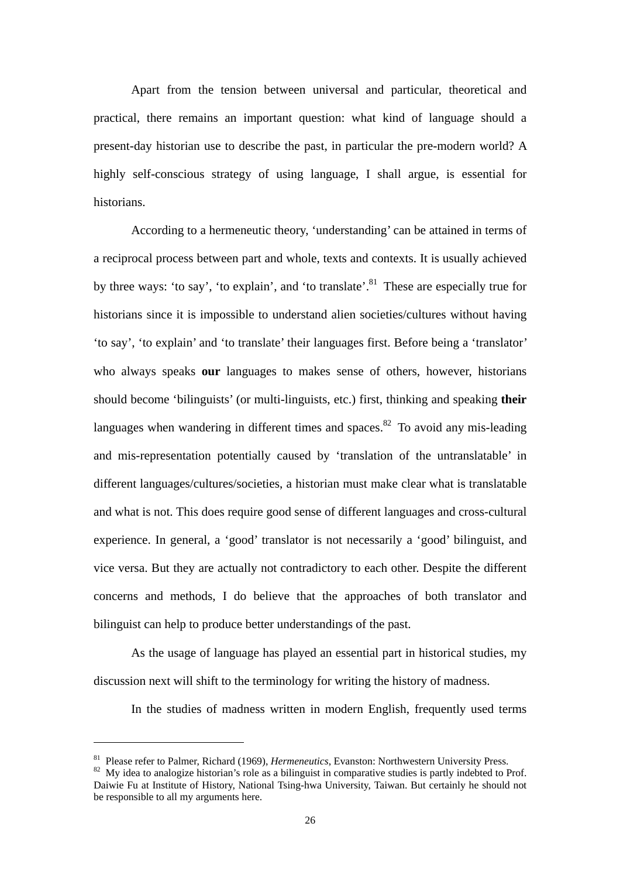Apart from the tension between universal and particular, theoretical and practical, there remains an important question: what kind of language should a present-day historian use to describe the past, in particular the pre-modern world? A highly self-conscious strategy of using language, I shall argue, is essential for historians.

According to a hermeneutic theory, 'understanding' can be attained in terms of a reciprocal process between part and whole, texts and contexts. It is usually achieved by three ways: 'to say', 'to explain', and 'to translate'.<sup>81</sup> These are especially true for historians since it is impossible to understand alien societies/cultures without having 'to say', 'to explain' and 'to translate' their languages first. Before being a 'translator' who always speaks **our** languages to makes sense of others, however, historians should become 'bilinguists' (or multi-linguists, etc.) first, thinking and speaking **their** languages when wandering in different times and spaces. $82$  To avoid any mis-leading and mis-representation potentially caused by 'translation of the untranslatable' in different languages/cultures/societies, a historian must make clear what is translatable and what is not. This does require good sense of different languages and cross-cultural experience. In general, a 'good' translator is not necessarily a 'good' bilinguist, and vice versa. But they are actually not contradictory to each other. Despite the different concerns and methods, I do believe that the approaches of both translator and bilinguist can help to produce better understandings of the past.

As the usage of language has played an essential part in historical studies, my discussion next will shift to the terminology for writing the history of madness.

In the studies of madness written in modern English, frequently used terms

<span id="page-25-1"></span><span id="page-25-0"></span>

<sup>&</sup>lt;sup>81</sup> Please refer to Palmer, Richard (1969), *Hermeneutics*, Evanston: Northwestern University Press.<br><sup>82</sup> My idea to analogize historian's role as a bilinguist in comparative studies is partly indebted to Prof. Daiwie Fu at Institute of History, National Tsing-hwa University, Taiwan. But certainly he should not be responsible to all my arguments here.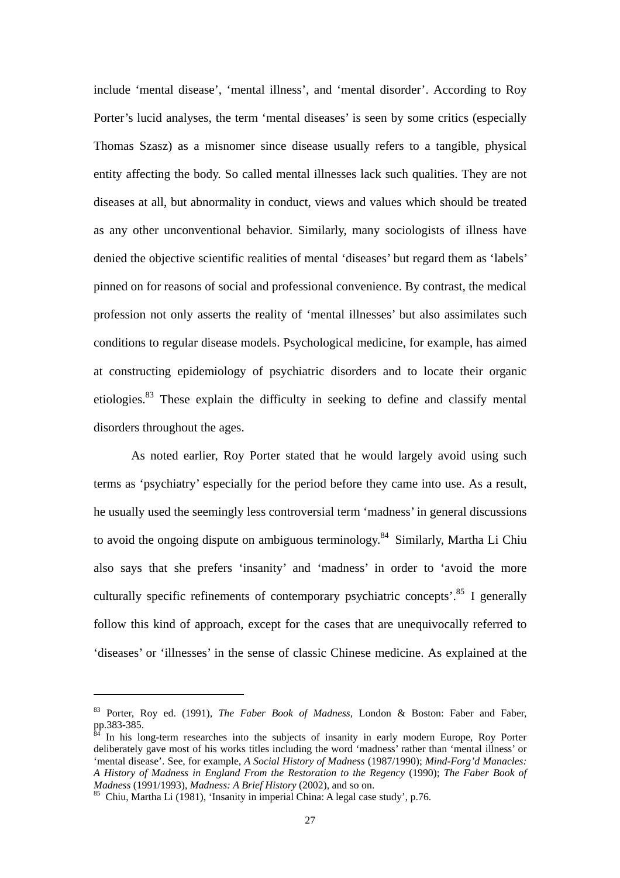include 'mental disease', 'mental illness', and 'mental disorder'. According to Roy Porter's lucid analyses, the term 'mental diseases' is seen by some critics (especially Thomas Szasz) as a misnomer since disease usually refers to a tangible, physical entity affecting the body. So called mental illnesses lack such qualities. They are not diseases at all, but abnormality in conduct, views and values which should be treated as any other unconventional behavior. Similarly, many sociologists of illness have denied the objective scientific realities of mental 'diseases' but regard them as 'labels' pinned on for reasons of social and professional convenience. By contrast, the medical profession not only asserts the reality of 'mental illnesses' but also assimilates such conditions to regular disease models. Psychological medicine, for example, has aimed at constructing epidemiology of psychiatric disorders and to locate their organic etiologies.[83](#page-26-0) These explain the difficulty in seeking to define and classify mental disorders throughout the ages.

As noted earlier, Roy Porter stated that he would largely avoid using such terms as 'psychiatry' especially for the period before they came into use. As a result, he usually used the seemingly less controversial term 'madness' in general discussions to avoid the ongoing dispute on ambiguous terminology.<sup>[84](#page-26-1)</sup> Similarly, Martha Li Chiu also says that she prefers 'insanity' and 'madness' in order to 'avoid the more culturally specific refinements of contemporary psychiatric concepts<sup> $85$ </sup> I generally follow this kind of approach, except for the cases that are unequivocally referred to 'diseases' or 'illnesses' in the sense of classic Chinese medicine. As explained at the

<span id="page-26-0"></span><sup>&</sup>lt;sup>83</sup> Porter, Roy ed. (1991), *The Faber Book of Madness*, London & Boston: Faber and Faber, pp.383-385.

<span id="page-26-1"></span>In his long-term researches into the subjects of insanity in early modern Europe, Roy Porter deliberately gave most of his works titles including the word 'madness' rather than 'mental illness' or 'mental disease'. See, for example, *A Social History of Madness* (1987/1990); *Mind-Forg'd Manacles: A History of Madness in England From the Restoration to the Regency* (1990); *The Faber Book of*

<span id="page-26-2"></span><sup>&</sup>lt;sup>85</sup> Chiu, Martha Li (1981), *'Insanity in imperial China: A legal case study'*, p.76.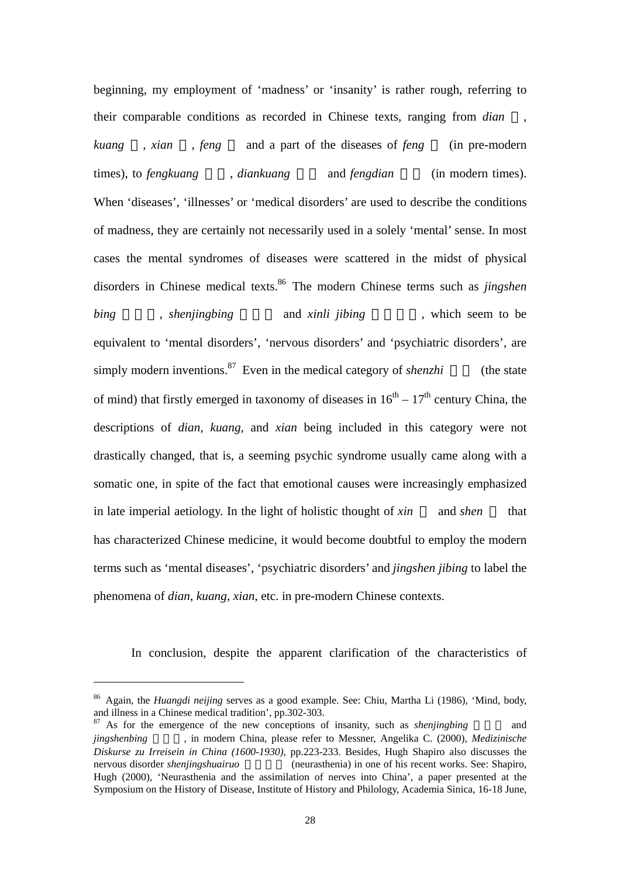beginning, my employment of 'madness' or 'insanity' is rather rough, referring to their comparable conditions as recorded in Chinese texts, ranging from *dian* , *kuang* , *xian* , *feng* and a part of the diseases of *feng* (in pre-modern times), to *fengkuang*, *diankuang* and *fengdian* (in modern times). When 'diseases', 'illnesses' or 'medical disorders' are used to describe the conditions of madness, they are certainly not necessarily used in a solely 'mental' sense. In most cases the mental syndromes of diseases were scattered in the midst of physical disorders in Chinese medical texts[.86](#page-27-0) The modern Chinese terms such as *jingshen bing* , *shenjingbing* and *xinli jibing*, which seem to be equivalent to 'mental disorders', 'nervous disorders' and 'psychiatric disorders', are simply modern inventions.<sup>87</sup> Even in the medical category of *shenzhi* (the state of mind) that firstly emerged in taxonomy of diseases in  $16<sup>th</sup> - 17<sup>th</sup>$  century China, the descriptions of *dian*, *kuang*, and *xian* being included in this category were not drastically changed, that is, a seeming psychic syndrome usually came along with a somatic one, in spite of the fact that emotional causes were increasingly emphasized in late imperial aetiology. In the light of holistic thought of *xin* and *shen* that has characterized Chinese medicine, it would become doubtful to employ the modern terms such as 'mental diseases', 'psychiatric disorders' and *jingshen jibing* to label the phenomena of *dian*, *kuang*, *xian*, etc. in pre-modern Chinese contexts.

In conclusion, despite the apparent clarification of the characteristics of

<span id="page-27-0"></span><sup>&</sup>lt;sup>86</sup> Again, the *Huangdi neijing* serves as a good example. See: Chiu, Martha Li (1986), 'Mind, body, and illness in a Chinese medical tradition', pp.302-303.

<span id="page-27-1"></span><sup>&</sup>lt;sup>87</sup> As for the emergence of the new conceptions of insanity, such as *shenjingbing* and *jingshenbing* 精神病, in modern China, please refer to Messner, Angelika C. (2000), *Medizinische Diskurse zu Irreisein in China (1600-1930)*, pp.223-233. Besides, Hugh Shapiro also discusses the nervous disorder *shenjingshuairuo* (neurasthenia) in one of his recent works. See: Shapiro, Hugh (2000), 'Neurasthenia and the assimilation of nerves into China', a paper presented at the Symposium on the History of Disease, Institute of History and Philology, Academia Sinica, 16-18 June,